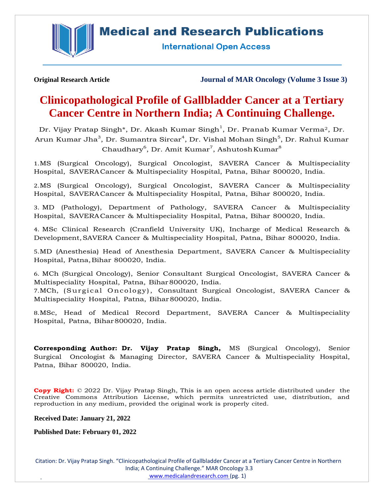**Medical and Research Publications** 



**International Open Access** 

**Original Research Article Journal of MAR Oncology (Volume 3 Issue 3)**

# **Clinicopathological Profile of Gallbladder Cancer at a Tertiary Cancer Centre in Northern India; A Continuing Challenge.**

Dr. Vijay Pratap Singh\*, Dr. Akash Kumar Singh $^{\rm l}$ , Dr. Pranab Kumar Verma $^{\rm 2}$ , Dr. Arun Kumar Jha $^3$ , Dr. Sumantra Sircar $^4$ , Dr. Vishal Mohan Singh $^5$ , Dr. Rahul Kumar Chaudhary $^6$ , Dr. Amit Kumar $^7$ , Ashutosh Kumar $^8$ 

1.MS (Surgical Oncology), Surgical Oncologist, SAVERA Cancer & Multispeciality Hospital, SAVERACancer & Multispeciality Hospital, Patna, Bihar 800020, India.

2.MS (Surgical Oncology), Surgical Oncologist, SAVERA Cancer & Multispeciality Hospital, SAVERACancer & Multispeciality Hospital, Patna, Bihar 800020, India.

3. MD (Pathology), Department of Pathology, SAVERA Cancer & Multispeciality Hospital, SAVERACancer & Multispeciality Hospital, Patna, Bihar 800020, India.

4. MSc Clinical Research (Cranfield University UK), Incharge of Medical Research & Development,SAVERA Cancer & Multispeciality Hospital, Patna, Bihar 800020, India.

5.MD (Anesthesia) Head of Anesthesia Department, SAVERA Cancer & Multispeciality Hospital, Patna, Bihar 800020, India.

6. MCh (Surgical Oncology), Senior Consultant Surgical Oncologist, SAVERA Cancer & Multispeciality Hospital, Patna, Bihar800020, India.

7.MCh, (Surgical Oncology), Consultant Surgical Oncologist, SAVERA Cancer & Multispeciality Hospital, Patna, Bihar800020, India.

8.MSc, Head of Medical Record Department, SAVERA Cancer & Multispeciality Hospital, Patna, Bihar800020, India.

**Corresponding Author: Dr. Vijay Pratap Singh,** MS (Surgical Oncology), Senior Surgical Oncologist & Managing Director, SAVERA Cancer & Multispeciality Hospital, Patna, Bihar 800020, India.

**Copy Right:** © 2022 Dr. Vijay Pratap Singh, This is an open access article distributed under the Creative Commons Attribution License, which permits unrestricted use, distribution, and reproduction in any medium, provided the original work is properly cited.

**Received Date: January 21, 2022**

**Published Date: February 01, 2022**

Citation: Dr. Vijay Pratap Singh. "Clinicopathological Profile of Gallbladder Cancer at a Tertiary Cancer Centre in Northern India; A Continuing Challenge." MAR Oncology 3.3 [www.medicalandresearch.com](http://www.medicalandresearch.com/) (pg. 1)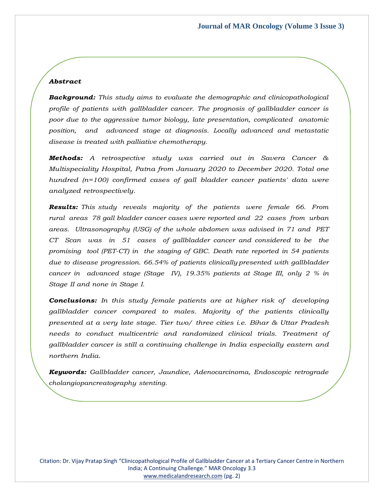# *Abstract*

*Background: This study aims to evaluate the demographic and clinicopathological profile of patients with gallbladder cancer. The prognosis of gallbladder cancer is poor due to the aggressive tumor biology, late presentation, complicated anatomic position, and advanced stage at diagnosis. Locally advanced and metastatic disease is treated with palliative chemotherapy.*

*Methods: A retrospective study was carried out in Savera Cancer & Multispeciality Hospital, Patna from January 2020 to December 2020. Total one hundred (n=100) confirmed cases of gall bladder cancer patients' data were analyzed retrospectively.*

*Results: This study reveals majority of the patients were female 66. From rural areas 78 gall bladder cancer cases were reported and 22 cases from urban areas. Ultrasonography (USG) of the whole abdomen was advised in 71 and PET CT Scan was in 51 cases of gallbladder cancer and considered to be the promising tool (PET-CT) in the staging of GBC. Death rate reported in 54 patients due to disease progression. 66.54% of patients clinically presented with gallbladder cancer in advanced stage (Stage IV), 19.35% patients at Stage III, only 2 % in Stage II and none in Stage I.*

*Conclusions: In this study female patients are at higher risk of developing gallbladder cancer compared to males. Majority of the patients clinically presented at a very late stage. Tier two/ three cities i.e. Bihar & Uttar Pradesh needs to conduct multicentric and randomized clinical trials. Treatment of gallbladder cancer is still a continuing challenge in India especially eastern and northern India.*

*Keywords: Gallbladder cancer, Jaundice, Adenocarcinoma, Endoscopic retrograde cholangiopancreatography stenting.*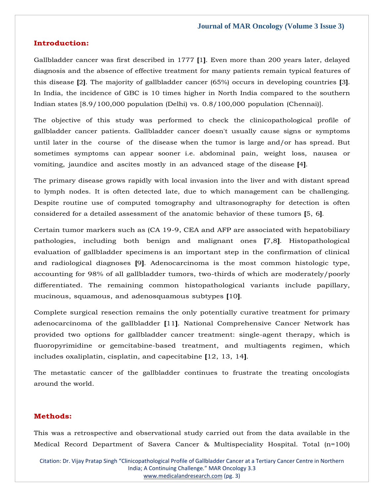# **Introduction:**

Gallbladder cancer was first described in 1777 **[**1**]**. Even more than 200 years later, delayed diagnosis and the absence of effective treatment for many patients remain typical features of this disease **[**2**]**. The majority of gallbladder cancer (65%) occurs in developing countries **[**3**]**. In India, the incidence of GBC is 10 times higher in North India compared to the southern Indian states [8.9/100,000 population (Delhi) vs. 0.8/100,000 population (Chennai)].

The objective of this study was performed to check the clinicopathological profile of gallbladder cancer patients. Gallbladder cancer doesn't usually cause signs or symptoms until later in the course of the disease when the tumor is large and/or has spread. But sometimes symptoms can appear sooner i.e. abdominal pain, weight loss, nausea or vomiting, jaundice and ascites mostly in an advanced stage of the disease **[**4**]**.

The primary disease grows rapidly with local invasion into the liver and with distant spread to lymph nodes. It is often detected late, due to which management can be challenging. Despite routine use of computed tomography and ultrasonography for detection is often considered for a detailed assessment of the anatomic behavior of these tumors **[**5, 6**]**.

Certain tumor markers such as (CA 19-9, CEA and AFP are associated with hepatobiliary pathologies, including both benign and malignant ones **[**7,8**]**. Histopathological evaluation of gallbladder specimens is an important step in the confirmation of clinical and radiological diagnoses **[**9**]**. Adenocarcinoma is the most common histologic type, accounting for 98% of all gallbladder tumors, two-thirds of which are moderately/poorly differentiated. The remaining common histopathological variants include papillary, mucinous, squamous, and adenosquamous subtypes **[**10**]**.

Complete surgical resection remains the only potentially curative treatment for primary adenocarcinoma of the gallbladder **[**11**]**. National Comprehensive Cancer Network has provided two options for gallbladder cancer treatment: single-agent therapy, which is fluoropyrimidine or gemcitabine-based treatment, and multiagents regimen, which includes oxaliplatin, cisplatin, and capecitabine **[**12, 13, 14**]**.

The metastatic cancer of the gallbladder continues to frustrate the treating oncologists around the world.

# **Methods:**

This was a retrospective and observational study carried out from the data available in the Medical Record Department of Savera Cancer & Multispeciality Hospital. Total (n=100)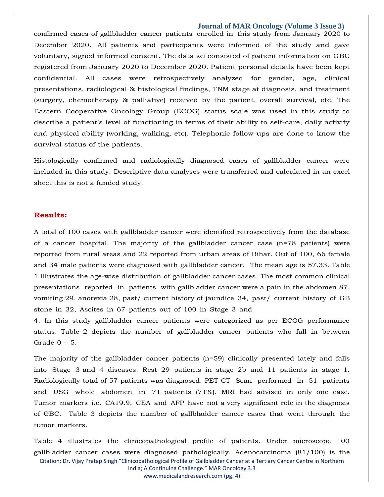confirmed cases of gallbladder cancer patients enrolled in this study from January 2020 to December 2020. All patients and participants were informed of the study and gave voluntary, signed informed consent. The data set consisted of patient information on GBC registered from January 2020 to December 2020. Patient personal details have been kept confidential. All cases were retrospectively analyzed for gender, age, clinical presentations, radiological & histological findings, TNM stage at diagnosis, and treatment (surgery, chemotherapy & palliative) received by the patient, overall survival, etc. The Eastern Cooperative Oncology Group (ECOG) status scale was used in this study to describe a patient's level of functioning in terms of their ability to self-care, daily activity and physical ability (working, walking, etc). Telephonic follow-ups are done to know the survival status of the patients.

Histologically confirmed and radiologically diagnosed cases of gallbladder cancer were included in this study. Descriptive data analyses were transferred and calculated in an excel sheet this is not a funded study.

## **Results:**

A total of 100 cases with gallbladder cancer were identified retrospectively from the database of a cancer hospital. The majority of the gallbladder cancer case (n=78 patients) were reported from rural areas and 22 reported from urban areas of Bihar. Out of 100, 66 female and 34 male patients were diagnosed with gallbladder cancer. The mean age is 57.33. Table 1 illustrates the age-wise distribution of gallbladder cancer cases. The most common clinical presentations reported in patients with gallbladder cancer were a pain in the abdomen 87, vomiting 29, anorexia 28, past/ current history of jaundice 34, past/ current history of GB stone in 32, Ascites in 67 patients out of 100 in Stage 3 and

4. In this study gallbladder cancer patients were categorized as per ECOG performance status. Table 2 depicts the number of gallbladder cancer patients who fall in between Grade  $0 - 5$ .

The majority of the gallbladder cancer patients (n=59) clinically presented lately and falls into Stage 3 and 4 diseases. Rest 29 patients in stage 2b and 11 patients in stage 1. Radiologically total of 57 patients was diagnosed. PET CT Scan performed in 51 patients and USG whole abdomen in 71 patients (71%). MRI had advised in only one case. Tumor markers i.e. CA19.9, CEA and AFP have not a very significant role in the diagnosis of GBC. Table 3 depicts the number of gallbladder cancer cases that went through the tumor markers.

Citation: Dr. Vijay Pratap Singh "Clinicopathological Profile of Gallbladder Cancer at a Tertiary Cancer Centre in Northern India; A Continuing Challenge." MAR Oncology 3.3 Table 4 illustrates the clinicopathological profile of patients. Under microscope 100 gallbladder cancer cases were diagnosed pathologically. Adenocarcinoma (81/100) is the

[www.medicalandresearch.com](http://www.medicalandresearch.com/) (pg. 4)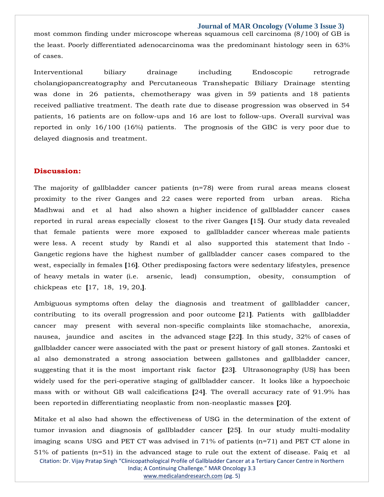most common finding under microscope whereas squamous cell carcinoma (8/100) of GB is the least. Poorly differentiated adenocarcinoma was the predominant histology seen in 63% of cases.

Interventional biliary drainage including Endoscopic retrograde cholangiopancreatography and Percutaneous Transhepatic Biliary Drainage stenting was done in 26 patients, chemotherapy was given in 59 patients and 18 patients received palliative treatment. The death rate due to disease progression was observed in 54 patients, 16 patients are on follow-ups and 16 are lost to follow-ups. Overall survival was reported in only 16/100 (16%) patients. The prognosis of the GBC is very poor due to delayed diagnosis and treatment.

## **Discussion:**

The majority of gallbladder cancer patients (n=78) were from rural areas means closest proximity to the river Ganges and 22 cases were reported from urban areas. Richa Madhwai and et al had also shown a higher incidence of gallbladder cancer cases reported in rural areas especially closest to the river Ganges **[**15**]**. Our study data revealed that female patients were more exposed to gallbladder cancer whereas male patients were less. A recent study by Randi et al also supported this statement that Indo - Gangetic regions have the highest number of gallbladder cancer cases compared to the west, especially in females **[**16**]**. Other predisposing factors were sedentary lifestyles, presence of heavy metals in water (i.e. arsenic, lead) consumption, obesity, consumption of chickpeas etc **[**17, 18, 19, 20,**]**.

Ambiguous symptoms often delay the diagnosis and treatment of gallbladder cancer, contributing to its overall progression and poor outcome **[**21**]**. Patients with gallbladder cancer may present with several non-specific complaints like stomachache, anorexia, nausea, jaundice and ascites in the advanced stage **[**22**]**. In this study, 32% of cases of gallbladder cancer were associated with the past or present history of gall stones. Zantoski et al also demonstrated a strong association between gallstones and gallbladder cancer, suggesting that it is the most important risk factor **[**23**]**. Ultrasonography (US) has been widely used for the peri-operative staging of gallbladder cancer. It looks like a hypoechoic mass with or without GB wall calcifications **[**24**]**. The overall accuracy rate of 91.9% has been reportedin differentiating neoplastic from non-neoplastic masses **[**20**]**.

Citation: Dr. Vijay Pratap Singh "Clinicopathological Profile of Gallbladder Cancer at a Tertiary Cancer Centre in Northern India; A Continuing Challenge." MAR Oncology 3.3 Mitake et al also had shown the effectiveness of USG in the determination of the extent of tumor invasion and diagnosis of gallbladder cancer **[**25**]**. In our study multi-modality imaging scans USG and PET CT was advised in 71% of patients (n=71) and PET CT alone in 51% of patients (n=51) in the advanced stage to rule out the extent of disease. Faiq et al

[www.medicalandresearch.com](http://www.medicalandresearch.com/) (pg. 5)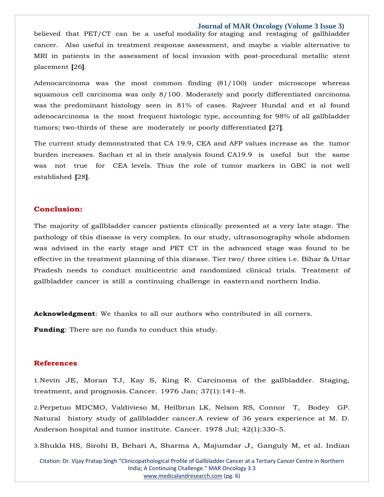believed that PET/CT can be a useful modality for staging and restaging of gallbladder cancer. Also useful in treatment response assessment, and maybe a viable alternative to MRI in patients in the assessment of local invasion with post-procedural metallic stent placement **[**26**]**.

Adenocarcinoma was the most common finding (81/100) under microscope whereas squamous cell carcinoma was only 8/100. Moderately and poorly differentiated carcinoma was the predominant histology seen in 81% of cases. Rajveer Hundal and et al found adenocarcinoma is the most frequent histologic type, accounting for 98% of all gallbladder tumors; two-thirds of these are moderately or poorly differentiated **[**27**]**.

The current study demonstrated that CA 19.9, CEA and AFP values increase as the tumor burden increases. Sachan et al in their analysis found CA19.9 is useful but the same was not true for CEA levels. Thus the role of tumor markers in GBC is not well established **[**28**]**.

## **Conclusion:**

The majority of gallbladder cancer patients clinically presented at a very late stage. The pathology of this disease is very complex. In our study, ultrasonography whole abdomen was advised in the early stage and PET CT in the advanced stage was found to be effective in the treatment planning of this disease. Tier two/ three cities i.e. Bihar & Uttar Pradesh needs to conduct multicentric and randomized clinical trials. Treatment of gallbladder cancer is still a continuing challenge in easternand northern India.

**Acknowledgment**: We thanks to all our authors who contributed in all corners.

**Funding**: There are no funds to conduct this study.

## **References**

1.Nevin JE, Moran TJ, Kay S, King R. Carcinoma of the [gallbladder.](https://www.google.com/search?q=Carcinoma%2Bof%2Bthe%2Bgallbladder.%2BStaging%2C%2Btreatment%2C%2Band%2Bprognosis&oq=Carcinoma%2Bof%2Bthe%2Bgallbladder.%2BStaging%2C%2Btreatment%2C%2Band%2Bprognosis&aqs=chrome..69i57j0i22i30.349j0j7&sourceid=chrome&ie=UTF-8) Staging, treatment, and [prognosis.C](https://www.google.com/search?q=Carcinoma%2Bof%2Bthe%2Bgallbladder.%2BStaging%2C%2Btreatment%2C%2Band%2Bprognosis&oq=Carcinoma%2Bof%2Bthe%2Bgallbladder.%2BStaging%2C%2Btreatment%2C%2Band%2Bprognosis&aqs=chrome..69i57j0i22i30.349j0j7&sourceid=chrome&ie=UTF-8)ancer. 1976 Jan; [37\(1\):141](https://www.google.com/search?q=Carcinoma%2Bof%2Bthe%2Bgallbladder.%2BStaging%2C%2Btreatment%2C%2Band%2Bprognosis&oq=Carcinoma%2Bof%2Bthe%2Bgallbladder.%2BStaging%2C%2Btreatment%2C%2Band%2Bprognosis&aqs=chrome..69i57j0i22i30.349j0j7&sourceid=chrome&ie=UTF-8)–8.

2.Perpetuo MDCMO, Valdivieso M, Heilbrun LK, Nelson RS, [Connor T, Bodey GP.](https://www.google.com/search?q=Natural%2Bhistory%2Bstudy%2Bof%2Bgallbladder%2Bcancer.A%2Breview%2Bof%2B36%2Byears%2Bexperience%2Bat%2BM.%2BD.%2BAnderson%2Bhospital%2Band%2Btumor%2Binstitute&sxsrf=AOaemvIK8sE0wAREKH2i3gZzJh55w_lcaA%3A1642863565393&ei=zRvsYbK_F7qF4-EPqZuSsA4&ved=0ahUKEwjy2erZz8X1AhW6wjgGHamNBOYQ4dUDCA4&uact=5&oq=Natural%2Bhistory%2Bstudy%2Bof%2Bgallbladder%2Bcancer.A%2Breview%2Bof%2B36%2Byears%2Bexperience%2Bat%2BM.%2BD.%2BAnderson%2Bhospital%2Band%2Btumor%2Binstitute&gs_lcp=Cgdnd3Mtd2l6EAMyBwgjEOoCECcyBwgjEOoCECcyBwgjEOoCECcyBwgjEOoCECcyBwgjEOoCECcyBwgjEOoCECcyBwgjEOoCECcyBwgjEOoCECcyBwgjEOoCECcyBwgjEOoCECdKBAhBGABKBAhGGABQ2AVY2AVgiwhoAXACeACAAQCIAQCSAQCYAQCgAQGgAQKwAQrAAQE&sclient=gws-wiz)  [Natural history](https://www.google.com/search?q=Natural%2Bhistory%2Bstudy%2Bof%2Bgallbladder%2Bcancer.A%2Breview%2Bof%2B36%2Byears%2Bexperience%2Bat%2BM.%2BD.%2BAnderson%2Bhospital%2Band%2Btumor%2Binstitute&sxsrf=AOaemvIK8sE0wAREKH2i3gZzJh55w_lcaA%3A1642863565393&ei=zRvsYbK_F7qF4-EPqZuSsA4&ved=0ahUKEwjy2erZz8X1AhW6wjgGHamNBOYQ4dUDCA4&uact=5&oq=Natural%2Bhistory%2Bstudy%2Bof%2Bgallbladder%2Bcancer.A%2Breview%2Bof%2B36%2Byears%2Bexperience%2Bat%2BM.%2BD.%2BAnderson%2Bhospital%2Band%2Btumor%2Binstitute&gs_lcp=Cgdnd3Mtd2l6EAMyBwgjEOoCECcyBwgjEOoCECcyBwgjEOoCECcyBwgjEOoCECcyBwgjEOoCECcyBwgjEOoCECcyBwgjEOoCECcyBwgjEOoCECcyBwgjEOoCECcyBwgjEOoCECdKBAhBGABKBAhGGABQ2AVY2AVgiwhoAXACeACAAQCIAQCSAQCYAQCgAQGgAQKwAQrAAQE&sclient=gws-wiz) [study of gallbladder cancer.A review of 36 years experience at M. D.](https://www.google.com/search?q=Natural%2Bhistory%2Bstudy%2Bof%2Bgallbladder%2Bcancer.A%2Breview%2Bof%2B36%2Byears%2Bexperience%2Bat%2BM.%2BD.%2BAnderson%2Bhospital%2Band%2Btumor%2Binstitute&sxsrf=AOaemvIK8sE0wAREKH2i3gZzJh55w_lcaA%3A1642863565393&ei=zRvsYbK_F7qF4-EPqZuSsA4&ved=0ahUKEwjy2erZz8X1AhW6wjgGHamNBOYQ4dUDCA4&uact=5&oq=Natural%2Bhistory%2Bstudy%2Bof%2Bgallbladder%2Bcancer.A%2Breview%2Bof%2B36%2Byears%2Bexperience%2Bat%2BM.%2BD.%2BAnderson%2Bhospital%2Band%2Btumor%2Binstitute&gs_lcp=Cgdnd3Mtd2l6EAMyBwgjEOoCECcyBwgjEOoCECcyBwgjEOoCECcyBwgjEOoCECcyBwgjEOoCECcyBwgjEOoCECcyBwgjEOoCECcyBwgjEOoCECcyBwgjEOoCECcyBwgjEOoCECdKBAhBGABKBAhGGABQ2AVY2AVgiwhoAXACeACAAQCIAQCSAQCYAQCgAQGgAQKwAQrAAQE&sclient=gws-wiz)  [Anderson hospital and tumor](https://www.google.com/search?q=Natural%2Bhistory%2Bstudy%2Bof%2Bgallbladder%2Bcancer.A%2Breview%2Bof%2B36%2Byears%2Bexperience%2Bat%2BM.%2BD.%2BAnderson%2Bhospital%2Band%2Btumor%2Binstitute&sxsrf=AOaemvIK8sE0wAREKH2i3gZzJh55w_lcaA%3A1642863565393&ei=zRvsYbK_F7qF4-EPqZuSsA4&ved=0ahUKEwjy2erZz8X1AhW6wjgGHamNBOYQ4dUDCA4&uact=5&oq=Natural%2Bhistory%2Bstudy%2Bof%2Bgallbladder%2Bcancer.A%2Breview%2Bof%2B36%2Byears%2Bexperience%2Bat%2BM.%2BD.%2BAnderson%2Bhospital%2Band%2Btumor%2Binstitute&gs_lcp=Cgdnd3Mtd2l6EAMyBwgjEOoCECcyBwgjEOoCECcyBwgjEOoCECcyBwgjEOoCECcyBwgjEOoCECcyBwgjEOoCECcyBwgjEOoCECcyBwgjEOoCECcyBwgjEOoCECcyBwgjEOoCECdKBAhBGABKBAhGGABQ2AVY2AVgiwhoAXACeACAAQCIAQCSAQCYAQCgAQGgAQKwAQrAAQE&sclient=gws-wiz) institute. Cancer. 1978 Jul; [42\(1\):330](https://www.google.com/search?q=Natural%2Bhistory%2Bstudy%2Bof%2Bgallbladder%2Bcancer.A%2Breview%2Bof%2B36%2Byears%2Bexperience%2Bat%2BM.%2BD.%2BAnderson%2Bhospital%2Band%2Btumor%2Binstitute&sxsrf=AOaemvIK8sE0wAREKH2i3gZzJh55w_lcaA%3A1642863565393&ei=zRvsYbK_F7qF4-EPqZuSsA4&ved=0ahUKEwjy2erZz8X1AhW6wjgGHamNBOYQ4dUDCA4&uact=5&oq=Natural%2Bhistory%2Bstudy%2Bof%2Bgallbladder%2Bcancer.A%2Breview%2Bof%2B36%2Byears%2Bexperience%2Bat%2BM.%2BD.%2BAnderson%2Bhospital%2Band%2Btumor%2Binstitute&gs_lcp=Cgdnd3Mtd2l6EAMyBwgjEOoCECcyBwgjEOoCECcyBwgjEOoCECcyBwgjEOoCECcyBwgjEOoCECcyBwgjEOoCECcyBwgjEOoCECcyBwgjEOoCECcyBwgjEOoCECcyBwgjEOoCECdKBAhBGABKBAhGGABQ2AVY2AVgiwhoAXACeACAAQCIAQCSAQCYAQCgAQGgAQKwAQrAAQE&sclient=gws-wiz)–5.

3.[Shukla HS, Sirohi B, Behari A, Sharma A, Majumdar J, Ganguly M, et al. Indian](https://www.google.com/search?q=Indian%2BCouncil%2Bof%2BMedical%2BResearch%2Bconsensus%2Bdocument%2Bfor%2Bthe%2Bmanagement%2Bof%2Bgall%2Bbladder%2Bcancer&sxsrf=AOaemvLDVAg4NVwu9wWHGvN8wX1bT7fP-A%3A1642863587974&ei=4xvsYe73Oqaf4-EPmOuGkA4&ved=0ahUKEwiu9czkz8X1AhWmzzgGHZi1AeIQ4dUDCA4&uact=5&oq=Indian%2BCouncil%2Bof%2BMedical%2BResearch%2Bconsensus%2Bdocument%2Bfor%2Bthe%2Bmanagement%2Bof%2Bgall%2Bbladder%2Bcancer&gs_lcp=Cgdnd3Mtd2l6EAM6BwgjEOoCECdKBAhBGABKBAhGGABQ8wZY8wZg6AloAXAAeACAAfUBiAH1AZIBAzItMZgBAKABAaABArABCsABAQ&sclient=gws-wiz) 

Citation: Dr. Vijay Pratap Singh "Clinicopathological Profile of Gallbladder Cancer at a Tertiary Cancer Centre in Northern India; A Continuing Challenge." MAR Oncology 3.3 [www.medicalandresearch.com](http://www.medicalandresearch.com/) (pg. 6)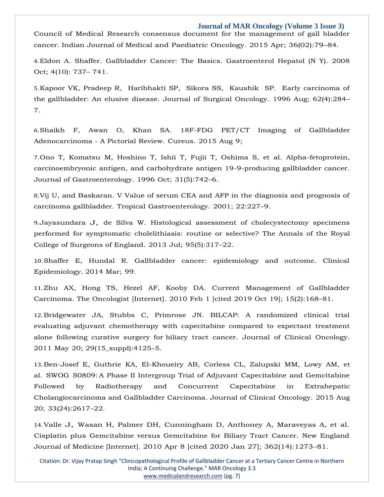[Council of Medical](https://www.google.com/search?q=Indian%2BCouncil%2Bof%2BMedical%2BResearch%2Bconsensus%2Bdocument%2Bfor%2Bthe%2Bmanagement%2Bof%2Bgall%2Bbladder%2Bcancer&sxsrf=AOaemvLDVAg4NVwu9wWHGvN8wX1bT7fP-A%3A1642863587974&ei=4xvsYe73Oqaf4-EPmOuGkA4&ved=0ahUKEwiu9czkz8X1AhWmzzgGHZi1AeIQ4dUDCA4&uact=5&oq=Indian%2BCouncil%2Bof%2BMedical%2BResearch%2Bconsensus%2Bdocument%2Bfor%2Bthe%2Bmanagement%2Bof%2Bgall%2Bbladder%2Bcancer&gs_lcp=Cgdnd3Mtd2l6EAM6BwgjEOoCECdKBAhBGABKBAhGGABQ8wZY8wZg6AloAXAAeACAAfUBiAH1AZIBAzItMZgBAKABAaABArABCsABAQ&sclient=gws-wiz) [Research consensus document for the management of gall bladder](https://www.google.com/search?q=Indian%2BCouncil%2Bof%2BMedical%2BResearch%2Bconsensus%2Bdocument%2Bfor%2Bthe%2Bmanagement%2Bof%2Bgall%2Bbladder%2Bcancer&sxsrf=AOaemvLDVAg4NVwu9wWHGvN8wX1bT7fP-A%3A1642863587974&ei=4xvsYe73Oqaf4-EPmOuGkA4&ved=0ahUKEwiu9czkz8X1AhWmzzgGHZi1AeIQ4dUDCA4&uact=5&oq=Indian%2BCouncil%2Bof%2BMedical%2BResearch%2Bconsensus%2Bdocument%2Bfor%2Bthe%2Bmanagement%2Bof%2Bgall%2Bbladder%2Bcancer&gs_lcp=Cgdnd3Mtd2l6EAM6BwgjEOoCECdKBAhBGABKBAhGGABQ8wZY8wZg6AloAXAAeACAAfUBiAH1AZIBAzItMZgBAKABAaABArABCsABAQ&sclient=gws-wiz)  [cancer. Indian Journal of Medical](https://www.google.com/search?q=Indian%2BCouncil%2Bof%2BMedical%2BResearch%2Bconsensus%2Bdocument%2Bfor%2Bthe%2Bmanagement%2Bof%2Bgall%2Bbladder%2Bcancer&sxsrf=AOaemvLDVAg4NVwu9wWHGvN8wX1bT7fP-A%3A1642863587974&ei=4xvsYe73Oqaf4-EPmOuGkA4&ved=0ahUKEwiu9czkz8X1AhWmzzgGHZi1AeIQ4dUDCA4&uact=5&oq=Indian%2BCouncil%2Bof%2BMedical%2BResearch%2Bconsensus%2Bdocument%2Bfor%2Bthe%2Bmanagement%2Bof%2Bgall%2Bbladder%2Bcancer&gs_lcp=Cgdnd3Mtd2l6EAM6BwgjEOoCECdKBAhBGABKBAhGGABQ8wZY8wZg6AloAXAAeACAAfUBiAH1AZIBAzItMZgBAKABAaABArABCsABAQ&sclient=gws-wiz) and [Paediatric](https://www.google.com/search?q=Indian%2BCouncil%2Bof%2BMedical%2BResearch%2Bconsensus%2Bdocument%2Bfor%2Bthe%2Bmanagement%2Bof%2Bgall%2Bbladder%2Bcancer&sxsrf=AOaemvLDVAg4NVwu9wWHGvN8wX1bT7fP-A%3A1642863587974&ei=4xvsYe73Oqaf4-EPmOuGkA4&ved=0ahUKEwiu9czkz8X1AhWmzzgGHZi1AeIQ4dUDCA4&uact=5&oq=Indian%2BCouncil%2Bof%2BMedical%2BResearch%2Bconsensus%2Bdocument%2Bfor%2Bthe%2Bmanagement%2Bof%2Bgall%2Bbladder%2Bcancer&gs_lcp=Cgdnd3Mtd2l6EAM6BwgjEOoCECdKBAhBGABKBAhGGABQ8wZY8wZg6AloAXAAeACAAfUBiAH1AZIBAzItMZgBAKABAaABArABCsABAQ&sclient=gws-wiz) Oncology. 2015 Apr; 36(02):79–84.

4.[Eldon A. Shaffer. Gallbladder Cancer: The Basics. Gastroenterol Hepatol \(N Y\). 2008](https://www.google.com/search?q=Gallbladder%2BCancer%3A%2BThe%2BBasics&sxsrf=AOaemvKiSNkv4CG_sj6xp9yfs0t80uYM0w%3A1642863728286&ei=cBzsYfDnEPTVmAXPiqvICQ&ved=0ahUKEwjw38Cn0MX1AhX0KqYKHU_FCpkQ4dUDCA4&uact=5&oq=Gallbladder%2BCancer%3A%2BThe%2BBasics&gs_lcp=Cgdnd3Mtd2l6EAMyBQgAEM0CMgUIABDNAjIFCAAQzQIyBQgAEM0CMgUIABDNAjoHCCMQ6gIQJ0oECEEYAEoECEYYAFDnCljnCmDbEGgBcAJ4AIABogKIAaICkgEDMi0xmAEAoAEBoAECsAEKwAEB&sclient=gws-wiz)  [Oct; 4\(10\): 737](https://www.google.com/search?q=Gallbladder%2BCancer%3A%2BThe%2BBasics&sxsrf=AOaemvKiSNkv4CG_sj6xp9yfs0t80uYM0w%3A1642863728286&ei=cBzsYfDnEPTVmAXPiqvICQ&ved=0ahUKEwjw38Cn0MX1AhX0KqYKHU_FCpkQ4dUDCA4&uact=5&oq=Gallbladder%2BCancer%3A%2BThe%2BBasics&gs_lcp=Cgdnd3Mtd2l6EAMyBQgAEM0CMgUIABDNAjIFCAAQzQIyBQgAEM0CMgUIABDNAjoHCCMQ6gIQJ0oECEEYAEoECEYYAFDnCljnCmDbEGgBcAJ4AIABogKIAaICkgEDMi0xmAEAoAEBoAECsAEKwAEB&sclient=gws-wiz)– [741.](https://www.google.com/search?q=Gallbladder%2BCancer%3A%2BThe%2BBasics&sxsrf=AOaemvKiSNkv4CG_sj6xp9yfs0t80uYM0w%3A1642863728286&ei=cBzsYfDnEPTVmAXPiqvICQ&ved=0ahUKEwjw38Cn0MX1AhX0KqYKHU_FCpkQ4dUDCA4&uact=5&oq=Gallbladder%2BCancer%3A%2BThe%2BBasics&gs_lcp=Cgdnd3Mtd2l6EAMyBQgAEM0CMgUIABDNAjIFCAAQzQIyBQgAEM0CMgUIABDNAjoHCCMQ6gIQJ0oECEEYAEoECEYYAFDnCljnCmDbEGgBcAJ4AIABogKIAaICkgEDMi0xmAEAoAEBoAECsAEKwAEB&sclient=gws-wiz)

5.Kapoor VK, Pradeep [R, Haribhakti SP, Sikora SS, Kaushik SP. Early carcinoma of](https://www.google.com/search?q=Early%2Bcarcinoma%2Bof%2Bthe%2Bgallbladder%3A%2BAn%2Belusive%2Bdisease&sxsrf=AOaemvLzeW3cxYBvD0-dihN3R3ZJxU1wCQ%3A1642863754223&ei=ihzsYaf9DMGZr7wPv9KEwAQ&ved=0ahUKEwin6u-z0MX1AhXBzIsBHT8pAUgQ4dUDCA4&uact=5&oq=Early%2Bcarcinoma%2Bof%2Bthe%2Bgallbladder%3A%2BAn%2Belusive%2Bdisease&gs_lcp=Cgdnd3Mtd2l6EAM6BwgjEOoCECdKBAhBGABKBAhGGABQzgtYzgtgiRNoAXACeACAAb0CiAG9ApIBAzMtMZgBAKABAaABArABCsABAQ&sclient=gws-wiz)  [the gallbladder:](https://www.google.com/search?q=Early%2Bcarcinoma%2Bof%2Bthe%2Bgallbladder%3A%2BAn%2Belusive%2Bdisease&sxsrf=AOaemvLzeW3cxYBvD0-dihN3R3ZJxU1wCQ%3A1642863754223&ei=ihzsYaf9DMGZr7wPv9KEwAQ&ved=0ahUKEwin6u-z0MX1AhXBzIsBHT8pAUgQ4dUDCA4&uact=5&oq=Early%2Bcarcinoma%2Bof%2Bthe%2Bgallbladder%3A%2BAn%2Belusive%2Bdisease&gs_lcp=Cgdnd3Mtd2l6EAM6BwgjEOoCECdKBAhBGABKBAhGGABQzgtYzgtgiRNoAXACeACAAb0CiAG9ApIBAzMtMZgBAKABAaABArABCsABAQ&sclient=gws-wiz) An elusive disease. Journal of Surgical [Oncology.](https://www.google.com/search?q=Early%2Bcarcinoma%2Bof%2Bthe%2Bgallbladder%3A%2BAn%2Belusive%2Bdisease&sxsrf=AOaemvLzeW3cxYBvD0-dihN3R3ZJxU1wCQ%3A1642863754223&ei=ihzsYaf9DMGZr7wPv9KEwAQ&ved=0ahUKEwin6u-z0MX1AhXBzIsBHT8pAUgQ4dUDCA4&uact=5&oq=Early%2Bcarcinoma%2Bof%2Bthe%2Bgallbladder%3A%2BAn%2Belusive%2Bdisease&gs_lcp=Cgdnd3Mtd2l6EAM6BwgjEOoCECdKBAhBGABKBAhGGABQzgtYzgtgiRNoAXACeACAAb0CiAG9ApIBAzMtMZgBAKABAaABArABCsABAQ&sclient=gws-wiz) 1996 Aug; 62(4):284– [7.](https://www.google.com/search?q=Early%2Bcarcinoma%2Bof%2Bthe%2Bgallbladder%3A%2BAn%2Belusive%2Bdisease&sxsrf=AOaemvLzeW3cxYBvD0-dihN3R3ZJxU1wCQ%3A1642863754223&ei=ihzsYaf9DMGZr7wPv9KEwAQ&ved=0ahUKEwin6u-z0MX1AhXBzIsBHT8pAUgQ4dUDCA4&uact=5&oq=Early%2Bcarcinoma%2Bof%2Bthe%2Bgallbladder%3A%2BAn%2Belusive%2Bdisease&gs_lcp=Cgdnd3Mtd2l6EAM6BwgjEOoCECdKBAhBGABKBAhGGABQzgtYzgtgiRNoAXACeACAAb0CiAG9ApIBAzMtMZgBAKABAaABArABCsABAQ&sclient=gws-wiz)

6.[Shaikh F, Awan O, Khan SA. 18F-FDG PET/CT Imaging of Gallbladder](https://www.google.com/search?q=18F-FDG%2BPET%2FCT%2BImaging%2Bof%2BGallbladder%2BAdenocarcinoma%2B-%2BA%2BPictorial%2BReview&sxsrf=AOaemvKMRrPt_gCsx4fTvdKsaIIC6TcZ-A%3A1642863782189&ei=phzsYdCIC-eRr7wP_ZahgA8&ved=0ahUKEwjQ85rB0MX1AhXnyIsBHX1LCPAQ4dUDCA4&uact=5&oq=18F-FDG%2BPET%2FCT%2BImaging%2Bof%2BGallbladder%2BAdenocarcinoma%2B-%2BA%2BPictorial%2BReview&gs_lcp=Cgdnd3Mtd2l6EAM6BwgjEOoCECdKBAhBGABKBAhGGABQ5QpY5QpghBJoAXAAeACAAdUBiAHVAZIBAzItMZgBAKABAaABArABCsABAQ&sclient=gws-wiz)  [Adenocarcinoma -](https://www.google.com/search?q=18F-FDG%2BPET%2FCT%2BImaging%2Bof%2BGallbladder%2BAdenocarcinoma%2B-%2BA%2BPictorial%2BReview&sxsrf=AOaemvKMRrPt_gCsx4fTvdKsaIIC6TcZ-A%3A1642863782189&ei=phzsYdCIC-eRr7wP_ZahgA8&ved=0ahUKEwjQ85rB0MX1AhXnyIsBHX1LCPAQ4dUDCA4&uact=5&oq=18F-FDG%2BPET%2FCT%2BImaging%2Bof%2BGallbladder%2BAdenocarcinoma%2B-%2BA%2BPictorial%2BReview&gs_lcp=Cgdnd3Mtd2l6EAM6BwgjEOoCECdKBAhBGABKBAhGGABQ5QpY5QpghBJoAXAAeACAAdUBiAHVAZIBAzItMZgBAKABAaABArABCsABAQ&sclient=gws-wiz) A Pictorial Review. [Cureus.](https://www.google.com/search?q=18F-FDG%2BPET%2FCT%2BImaging%2Bof%2BGallbladder%2BAdenocarcinoma%2B-%2BA%2BPictorial%2BReview&sxsrf=AOaemvKMRrPt_gCsx4fTvdKsaIIC6TcZ-A%3A1642863782189&ei=phzsYdCIC-eRr7wP_ZahgA8&ved=0ahUKEwjQ85rB0MX1AhXnyIsBHX1LCPAQ4dUDCA4&uact=5&oq=18F-FDG%2BPET%2FCT%2BImaging%2Bof%2BGallbladder%2BAdenocarcinoma%2B-%2BA%2BPictorial%2BReview&gs_lcp=Cgdnd3Mtd2l6EAM6BwgjEOoCECdKBAhBGABKBAhGGABQ5QpY5QpghBJoAXAAeACAAdUBiAHVAZIBAzItMZgBAKABAaABArABCsABAQ&sclient=gws-wiz) 2015 Aug 9;

7.[Ono T, Komatsu M, Hoshino T, Ishii T, Fujii T, Oshima S, et al. Alpha-fetoprotein,](https://www.google.com/search?q=Alpha-fetoprotein%2C%2Bcarcinoembryonic%2Bantigen%2C%2Band%2Bcarbohydrate%2Bantigen%2B19-9-producing%2Bgallbladder%2Bcancer&sxsrf=AOaemvJKt3qTl-9aCe4ifGussB6Duuq-Cg%3A1642863809014&ei=wRzsYewfqoqvvA-zwoP4AQ&ved=0ahUKEwishIDO0MX1AhUqxYsBHTPhAB8Q4dUDCA4&uact=5&oq=Alpha-fetoprotein%2C%2Bcarcinoembryonic%2Bantigen%2C%2Band%2Bcarbohydrate%2Bantigen%2B19-9-producing%2Bgallbladder%2Bcancer&gs_lcp=Cgdnd3Mtd2l6EAMyBwgjEOoCECcyBwgjEOoCECcyBwgjEOoCECcyBwgjEOoCECcyBwgjEOoCECcyBwgjEOoCECcyBwgjEOoCECcyBwgjEOoCECcyBwgjEOoCECcyBwgjEOoCECdKBAhBGABKBAhGGABQ1AxY1AxgshNoAXAAeACAAQCIAQCSAQCYAQCgAQGgAQKwAQrAAQE&sclient=gws-wiz)  [carcinoembryonic](https://www.google.com/search?q=Alpha-fetoprotein%2C%2Bcarcinoembryonic%2Bantigen%2C%2Band%2Bcarbohydrate%2Bantigen%2B19-9-producing%2Bgallbladder%2Bcancer&sxsrf=AOaemvJKt3qTl-9aCe4ifGussB6Duuq-Cg%3A1642863809014&ei=wRzsYewfqoqvvA-zwoP4AQ&ved=0ahUKEwishIDO0MX1AhUqxYsBHTPhAB8Q4dUDCA4&uact=5&oq=Alpha-fetoprotein%2C%2Bcarcinoembryonic%2Bantigen%2C%2Band%2Bcarbohydrate%2Bantigen%2B19-9-producing%2Bgallbladder%2Bcancer&gs_lcp=Cgdnd3Mtd2l6EAMyBwgjEOoCECcyBwgjEOoCECcyBwgjEOoCECcyBwgjEOoCECcyBwgjEOoCECcyBwgjEOoCECcyBwgjEOoCECcyBwgjEOoCECcyBwgjEOoCECcyBwgjEOoCECdKBAhBGABKBAhGGABQ1AxY1AxgshNoAXAAeACAAQCIAQCSAQCYAQCgAQGgAQKwAQrAAQE&sclient=gws-wiz) [antigen, and carbohydrate antigen 19-9-producing gallbladder cancer.](https://www.google.com/search?q=Alpha-fetoprotein%2C%2Bcarcinoembryonic%2Bantigen%2C%2Band%2Bcarbohydrate%2Bantigen%2B19-9-producing%2Bgallbladder%2Bcancer&sxsrf=AOaemvJKt3qTl-9aCe4ifGussB6Duuq-Cg%3A1642863809014&ei=wRzsYewfqoqvvA-zwoP4AQ&ved=0ahUKEwishIDO0MX1AhUqxYsBHTPhAB8Q4dUDCA4&uact=5&oq=Alpha-fetoprotein%2C%2Bcarcinoembryonic%2Bantigen%2C%2Band%2Bcarbohydrate%2Bantigen%2B19-9-producing%2Bgallbladder%2Bcancer&gs_lcp=Cgdnd3Mtd2l6EAMyBwgjEOoCECcyBwgjEOoCECcyBwgjEOoCECcyBwgjEOoCECcyBwgjEOoCECcyBwgjEOoCECcyBwgjEOoCECcyBwgjEOoCECcyBwgjEOoCECcyBwgjEOoCECdKBAhBGABKBAhGGABQ1AxY1AxgshNoAXAAeACAAQCIAQCSAQCYAQCgAQGgAQKwAQrAAQE&sclient=gws-wiz)  [Journal of Gastroenterology.](https://www.google.com/search?q=Alpha-fetoprotein%2C%2Bcarcinoembryonic%2Bantigen%2C%2Band%2Bcarbohydrate%2Bantigen%2B19-9-producing%2Bgallbladder%2Bcancer&sxsrf=AOaemvJKt3qTl-9aCe4ifGussB6Duuq-Cg%3A1642863809014&ei=wRzsYewfqoqvvA-zwoP4AQ&ved=0ahUKEwishIDO0MX1AhUqxYsBHTPhAB8Q4dUDCA4&uact=5&oq=Alpha-fetoprotein%2C%2Bcarcinoembryonic%2Bantigen%2C%2Band%2Bcarbohydrate%2Bantigen%2B19-9-producing%2Bgallbladder%2Bcancer&gs_lcp=Cgdnd3Mtd2l6EAMyBwgjEOoCECcyBwgjEOoCECcyBwgjEOoCECcyBwgjEOoCECcyBwgjEOoCECcyBwgjEOoCECcyBwgjEOoCECcyBwgjEOoCECcyBwgjEOoCECcyBwgjEOoCECdKBAhBGABKBAhGGABQ1AxY1AxgshNoAXAAeACAAQCIAQCSAQCYAQCgAQGgAQKwAQrAAQE&sclient=gws-wiz) 1996 Oct; [31\(5\):742](https://www.google.com/search?q=Alpha-fetoprotein%2C%2Bcarcinoembryonic%2Bantigen%2C%2Band%2Bcarbohydrate%2Bantigen%2B19-9-producing%2Bgallbladder%2Bcancer&sxsrf=AOaemvJKt3qTl-9aCe4ifGussB6Duuq-Cg%3A1642863809014&ei=wRzsYewfqoqvvA-zwoP4AQ&ved=0ahUKEwishIDO0MX1AhUqxYsBHTPhAB8Q4dUDCA4&uact=5&oq=Alpha-fetoprotein%2C%2Bcarcinoembryonic%2Bantigen%2C%2Band%2Bcarbohydrate%2Bantigen%2B19-9-producing%2Bgallbladder%2Bcancer&gs_lcp=Cgdnd3Mtd2l6EAMyBwgjEOoCECcyBwgjEOoCECcyBwgjEOoCECcyBwgjEOoCECcyBwgjEOoCECcyBwgjEOoCECcyBwgjEOoCECcyBwgjEOoCECcyBwgjEOoCECcyBwgjEOoCECdKBAhBGABKBAhGGABQ1AxY1AxgshNoAXAAeACAAQCIAQCSAQCYAQCgAQGgAQKwAQrAAQE&sclient=gws-wiz)–6.

8.[Vij U, and Baskaran. V Value of serum CEA and AFP in the diagnosis and prognosis of](https://www.google.com/search?q=V%2BValue%2Bof%2Bserum%2BCEA%2Band%2BAFP%2Bin%2Bthe%2Bdiagnosis%2Band%2Bprognosis%2Bof%2Bcarcinoma%2Bgallbladder&sxsrf=AOaemvJy9HRbGLoLHB-pYnd-eGdOSOqRFw%3A1642863833631&ei=2RzsYYGIJrSZr7wP_LaFiAI&ved=0ahUKEwjB2N7Z0MX1AhW0zIsBHXxbASEQ4dUDCA4&uact=5&oq=V%2BValue%2Bof%2Bserum%2BCEA%2Band%2BAFP%2Bin%2Bthe%2Bdiagnosis%2Band%2Bprognosis%2Bof%2Bcarcinoma%2Bgallbladder&gs_lcp=Cgdnd3Mtd2l6EAM6BwgjEOoCECdKBAhBGABKBAhGGABQmQlYmQlgpA5oAXACeACAAb4BiAG-AZIBAzAuMZgBAKABAaABArABCsABAQ&sclient=gws-wiz)  [carcinoma](https://www.google.com/search?q=V%2BValue%2Bof%2Bserum%2BCEA%2Band%2BAFP%2Bin%2Bthe%2Bdiagnosis%2Band%2Bprognosis%2Bof%2Bcarcinoma%2Bgallbladder&sxsrf=AOaemvJy9HRbGLoLHB-pYnd-eGdOSOqRFw%3A1642863833631&ei=2RzsYYGIJrSZr7wP_LaFiAI&ved=0ahUKEwjB2N7Z0MX1AhW0zIsBHXxbASEQ4dUDCA4&uact=5&oq=V%2BValue%2Bof%2Bserum%2BCEA%2Band%2BAFP%2Bin%2Bthe%2Bdiagnosis%2Band%2Bprognosis%2Bof%2Bcarcinoma%2Bgallbladder&gs_lcp=Cgdnd3Mtd2l6EAM6BwgjEOoCECdKBAhBGABKBAhGGABQmQlYmQlgpA5oAXACeACAAb4BiAG-AZIBAzAuMZgBAKABAaABArABCsABAQ&sclient=gws-wiz) gallbladder. Tropical [Gastroenterology.](https://www.google.com/search?q=V%2BValue%2Bof%2Bserum%2BCEA%2Band%2BAFP%2Bin%2Bthe%2Bdiagnosis%2Band%2Bprognosis%2Bof%2Bcarcinoma%2Bgallbladder&sxsrf=AOaemvJy9HRbGLoLHB-pYnd-eGdOSOqRFw%3A1642863833631&ei=2RzsYYGIJrSZr7wP_LaFiAI&ved=0ahUKEwjB2N7Z0MX1AhW0zIsBHXxbASEQ4dUDCA4&uact=5&oq=V%2BValue%2Bof%2Bserum%2BCEA%2Band%2BAFP%2Bin%2Bthe%2Bdiagnosis%2Band%2Bprognosis%2Bof%2Bcarcinoma%2Bgallbladder&gs_lcp=Cgdnd3Mtd2l6EAM6BwgjEOoCECdKBAhBGABKBAhGGABQmQlYmQlgpA5oAXACeACAAb4BiAG-AZIBAzAuMZgBAKABAaABArABCsABAQ&sclient=gws-wiz) 2001; 22:227–9.

9.[Jayasundara J, de Silva W. Histological assessment of cholecystectomy specimens](https://www.google.com/search?q=Histological%2Bassessment%2Bof%2Bcholecystectomy%2Bspecimens%2Bperformed%2Bfor%2Bsymptomatic%2Bcholelithiasis%3A%2Broutine%2Bor%2Bselective%3F%2BThe%2BAnnals%2Bof%2Bthe%2BRoyal%2BCollege%2Bof%2BSurgeons%2Bof%2BEngland&sxsrf=AOaemvKBulR-EJ0SblKEFMfgh5CyTepWfA%3A1642863858089&ei=8hzsYZ_oBPaXr7wPjc214A4&ved=0ahUKEwifqbPl0MX1AhX2y4sBHY1mDewQ4dUDCA4&uact=5&oq=Histological%2Bassessment%2Bof%2Bcholecystectomy%2Bspecimens%2Bperformed%2Bfor%2Bsymptomatic%2Bcholelithiasis%3A%2Broutine%2Bor%2Bselective%3F%2BThe%2BAnnals%2Bof%2Bthe%2BRoyal%2BCollege%2Bof%2BSurgeons%2Bof%2BEngland&gs_lcp=Cgdnd3Mtd2l6EAMyBwgjEOoCECcyBwgjEOoCECcyBwgjEOoCECcyBwgjEOoCECcyBwgjEOoCECcyBwgjEOoCECcyBwgjEOoCECcyBwgjEOoCECcyBwgjEOoCECcyBwgjEOoCECdKBAhBGABKBAhGGABQ5ApY5ApgshFoAXAAeACAAQCIAQCSAQCYAQCgAQGgAQKwAQrAAQE&sclient=gws-wiz)  [performed for](https://www.google.com/search?q=Histological%2Bassessment%2Bof%2Bcholecystectomy%2Bspecimens%2Bperformed%2Bfor%2Bsymptomatic%2Bcholelithiasis%3A%2Broutine%2Bor%2Bselective%3F%2BThe%2BAnnals%2Bof%2Bthe%2BRoyal%2BCollege%2Bof%2BSurgeons%2Bof%2BEngland&sxsrf=AOaemvKBulR-EJ0SblKEFMfgh5CyTepWfA%3A1642863858089&ei=8hzsYZ_oBPaXr7wPjc214A4&ved=0ahUKEwifqbPl0MX1AhX2y4sBHY1mDewQ4dUDCA4&uact=5&oq=Histological%2Bassessment%2Bof%2Bcholecystectomy%2Bspecimens%2Bperformed%2Bfor%2Bsymptomatic%2Bcholelithiasis%3A%2Broutine%2Bor%2Bselective%3F%2BThe%2BAnnals%2Bof%2Bthe%2BRoyal%2BCollege%2Bof%2BSurgeons%2Bof%2BEngland&gs_lcp=Cgdnd3Mtd2l6EAMyBwgjEOoCECcyBwgjEOoCECcyBwgjEOoCECcyBwgjEOoCECcyBwgjEOoCECcyBwgjEOoCECcyBwgjEOoCECcyBwgjEOoCECcyBwgjEOoCECcyBwgjEOoCECdKBAhBGABKBAhGGABQ5ApY5ApgshFoAXAAeACAAQCIAQCSAQCYAQCgAQGgAQKwAQrAAQE&sclient=gws-wiz) symptomatic [cholelithiasis:](https://www.google.com/search?q=Histological%2Bassessment%2Bof%2Bcholecystectomy%2Bspecimens%2Bperformed%2Bfor%2Bsymptomatic%2Bcholelithiasis%3A%2Broutine%2Bor%2Bselective%3F%2BThe%2BAnnals%2Bof%2Bthe%2BRoyal%2BCollege%2Bof%2BSurgeons%2Bof%2BEngland&sxsrf=AOaemvKBulR-EJ0SblKEFMfgh5CyTepWfA%3A1642863858089&ei=8hzsYZ_oBPaXr7wPjc214A4&ved=0ahUKEwifqbPl0MX1AhX2y4sBHY1mDewQ4dUDCA4&uact=5&oq=Histological%2Bassessment%2Bof%2Bcholecystectomy%2Bspecimens%2Bperformed%2Bfor%2Bsymptomatic%2Bcholelithiasis%3A%2Broutine%2Bor%2Bselective%3F%2BThe%2BAnnals%2Bof%2Bthe%2BRoyal%2BCollege%2Bof%2BSurgeons%2Bof%2BEngland&gs_lcp=Cgdnd3Mtd2l6EAMyBwgjEOoCECcyBwgjEOoCECcyBwgjEOoCECcyBwgjEOoCECcyBwgjEOoCECcyBwgjEOoCECcyBwgjEOoCECcyBwgjEOoCECcyBwgjEOoCECcyBwgjEOoCECdKBAhBGABKBAhGGABQ5ApY5ApgshFoAXAAeACAAQCIAQCSAQCYAQCgAQGgAQKwAQrAAQE&sclient=gws-wiz) routine or selective? The Annals of the Royal College of [Surgeons](https://www.google.com/search?q=Histological%2Bassessment%2Bof%2Bcholecystectomy%2Bspecimens%2Bperformed%2Bfor%2Bsymptomatic%2Bcholelithiasis%3A%2Broutine%2Bor%2Bselective%3F%2BThe%2BAnnals%2Bof%2Bthe%2BRoyal%2BCollege%2Bof%2BSurgeons%2Bof%2BEngland&sxsrf=AOaemvKBulR-EJ0SblKEFMfgh5CyTepWfA%3A1642863858089&ei=8hzsYZ_oBPaXr7wPjc214A4&ved=0ahUKEwifqbPl0MX1AhX2y4sBHY1mDewQ4dUDCA4&uact=5&oq=Histological%2Bassessment%2Bof%2Bcholecystectomy%2Bspecimens%2Bperformed%2Bfor%2Bsymptomatic%2Bcholelithiasis%3A%2Broutine%2Bor%2Bselective%3F%2BThe%2BAnnals%2Bof%2Bthe%2BRoyal%2BCollege%2Bof%2BSurgeons%2Bof%2BEngland&gs_lcp=Cgdnd3Mtd2l6EAMyBwgjEOoCECcyBwgjEOoCECcyBwgjEOoCECcyBwgjEOoCECcyBwgjEOoCECcyBwgjEOoCECcyBwgjEOoCECcyBwgjEOoCECcyBwgjEOoCECcyBwgjEOoCECdKBAhBGABKBAhGGABQ5ApY5ApgshFoAXAAeACAAQCIAQCSAQCYAQCgAQGgAQKwAQrAAQE&sclient=gws-wiz) of England. 2013 Jul; [95\(5\):317](https://www.google.com/search?q=Histological%2Bassessment%2Bof%2Bcholecystectomy%2Bspecimens%2Bperformed%2Bfor%2Bsymptomatic%2Bcholelithiasis%3A%2Broutine%2Bor%2Bselective%3F%2BThe%2BAnnals%2Bof%2Bthe%2BRoyal%2BCollege%2Bof%2BSurgeons%2Bof%2BEngland&sxsrf=AOaemvKBulR-EJ0SblKEFMfgh5CyTepWfA%3A1642863858089&ei=8hzsYZ_oBPaXr7wPjc214A4&ved=0ahUKEwifqbPl0MX1AhX2y4sBHY1mDewQ4dUDCA4&uact=5&oq=Histological%2Bassessment%2Bof%2Bcholecystectomy%2Bspecimens%2Bperformed%2Bfor%2Bsymptomatic%2Bcholelithiasis%3A%2Broutine%2Bor%2Bselective%3F%2BThe%2BAnnals%2Bof%2Bthe%2BRoyal%2BCollege%2Bof%2BSurgeons%2Bof%2BEngland&gs_lcp=Cgdnd3Mtd2l6EAMyBwgjEOoCECcyBwgjEOoCECcyBwgjEOoCECcyBwgjEOoCECcyBwgjEOoCECcyBwgjEOoCECcyBwgjEOoCECcyBwgjEOoCECcyBwgjEOoCECcyBwgjEOoCECdKBAhBGABKBAhGGABQ5ApY5ApgshFoAXAAeACAAQCIAQCSAQCYAQCgAQGgAQKwAQrAAQE&sclient=gws-wiz)–22.

10.[Shaffer E, Hundal R. Gallbladder cancer: epidemiology and outcome. Clinical](https://www.google.com/search?q=Gallbladder%2Bcancer%3A%2Bepidemiology%2Band%2Boutcome&sxsrf=AOaemvISH7zSrLbiE3QBXzQNCXRp5Swthg%3A1642863886727&ei=Dh3sYYnpK8KYr7wP1Yq6yAk&ved=0ahUKEwiJqIfz0MX1AhVCzIsBHVWFDpkQ4dUDCA4&uact=5&oq=Gallbladder%2Bcancer%3A%2Bepidemiology%2Band%2Boutcome&gs_lcp=Cgdnd3Mtd2l6EAMyBQgAEIAEOgcIIxDqAhAnSgQIQRgASgQIRhgAUOIFWOIFYMUIaAFwAHgAgAHFAYgBxQGSAQMwLjGYAQCgAQGgAQKwAQrAAQE&sclient=gws-wiz)  [Epidemiology. 2014](https://www.google.com/search?q=Gallbladder%2Bcancer%3A%2Bepidemiology%2Band%2Boutcome&sxsrf=AOaemvISH7zSrLbiE3QBXzQNCXRp5Swthg%3A1642863886727&ei=Dh3sYYnpK8KYr7wP1Yq6yAk&ved=0ahUKEwiJqIfz0MX1AhVCzIsBHVWFDpkQ4dUDCA4&uact=5&oq=Gallbladder%2Bcancer%3A%2Bepidemiology%2Band%2Boutcome&gs_lcp=Cgdnd3Mtd2l6EAMyBQgAEIAEOgcIIxDqAhAnSgQIQRgASgQIRhgAUOIFWOIFYMUIaAFwAHgAgAHFAYgBxQGSAQMwLjGYAQCgAQGgAQKwAQrAAQE&sclient=gws-wiz) [Mar;](https://www.google.com/search?q=Gallbladder%2Bcancer%3A%2Bepidemiology%2Band%2Boutcome&sxsrf=AOaemvISH7zSrLbiE3QBXzQNCXRp5Swthg%3A1642863886727&ei=Dh3sYYnpK8KYr7wP1Yq6yAk&ved=0ahUKEwiJqIfz0MX1AhVCzIsBHVWFDpkQ4dUDCA4&uact=5&oq=Gallbladder%2Bcancer%3A%2Bepidemiology%2Band%2Boutcome&gs_lcp=Cgdnd3Mtd2l6EAMyBQgAEIAEOgcIIxDqAhAnSgQIQRgASgQIRhgAUOIFWOIFYMUIaAFwAHgAgAHFAYgBxQGSAQMwLjGYAQCgAQGgAQKwAQrAAQE&sclient=gws-wiz) 99.

11.Zhu AX, Hong TS, Hezel AF, Kooby DA. Current [Management](https://www.google.com/search?q=Current%2BManagement%2Bof%2BGallbladder%2BCarcinoma&sxsrf=AOaemvL1HyD1nL2D7dy6GFHnhs2x11HJSw%3A1642863922506&ei=Mh3sYa2fHs-Fr7wP0_itqAs&ved=0ahUKEwitgI-E0cX1AhXPwosBHVN8C7UQ4dUDCA4&uact=5&oq=Current%2BManagement%2Bof%2BGallbladder%2BCarcinoma&gs_lcp=Cgdnd3Mtd2l6EAMyBggAEBYQHjoHCCMQ6gIQJ0oECEEYAEoECEYYAFDCBVjCBWDxB2gBcAJ4AIABxwGIAccBkgEDMC4xmAEAoAEBoAECsAEKwAEB&sclient=gws-wiz) of Gallbladder [Carcinoma.](https://www.google.com/search?q=Current%2BManagement%2Bof%2BGallbladder%2BCarcinoma&sxsrf=AOaemvL1HyD1nL2D7dy6GFHnhs2x11HJSw%3A1642863922506&ei=Mh3sYa2fHs-Fr7wP0_itqAs&ved=0ahUKEwitgI-E0cX1AhXPwosBHVN8C7UQ4dUDCA4&uact=5&oq=Current%2BManagement%2Bof%2BGallbladder%2BCarcinoma&gs_lcp=Cgdnd3Mtd2l6EAMyBggAEBYQHjoHCCMQ6gIQJ0oECEEYAEoECEYYAFDCBVjCBWDxB2gBcAJ4AIABxwGIAccBkgEDMC4xmAEAoAEBoAECsAEKwAEB&sclient=gws-wiz) The [Oncologist](https://www.google.com/search?q=Current%2BManagement%2Bof%2BGallbladder%2BCarcinoma&sxsrf=AOaemvL1HyD1nL2D7dy6GFHnhs2x11HJSw%3A1642863922506&ei=Mh3sYa2fHs-Fr7wP0_itqAs&ved=0ahUKEwitgI-E0cX1AhXPwosBHVN8C7UQ4dUDCA4&uact=5&oq=Current%2BManagement%2Bof%2BGallbladder%2BCarcinoma&gs_lcp=Cgdnd3Mtd2l6EAMyBggAEBYQHjoHCCMQ6gIQJ0oECEEYAEoECEYYAFDCBVjCBWDxB2gBcAJ4AIABxwGIAccBkgEDMC4xmAEAoAEBoAECsAEKwAEB&sclient=gws-wiz) [Internet]. 2010 Feb 1 [cited 2019 Oct 19]; 15(2):168–81.

12.[Bridgewater JA, Stubbs C, Primrose JN. BILCAP: A randomized clinical trial](https://www.google.com/search?q=BILCAP%3A%2BA%2Brandomized%2Bclinical%2Btrial%2Bevaluating%2Badjuvant%2Bchemotherapy%2Bwith%2Bcapecitabine%2Bcompared%2Bto%2Bexpectant%2Btreatment%2Balone%2Bfollowing%2Bcurative%2Bsurgery%2Bfor%2Bbiliary%2Btract%2Bcancer&sxsrf=AOaemvImdfw9VCj-HbhcqbHN2HntksmNsQ%3A1642863942381&ei=Rh3sYa3SFtuMr7wPnP-UoAE&ved=0ahUKEwitjcyN0cX1AhVbxosBHZw_BRQQ4dUDCA4&uact=5&oq=BILCAP%3A%2BA%2Brandomized%2Bclinical%2Btrial%2Bevaluating%2Badjuvant%2Bchemotherapy%2Bwith%2Bcapecitabine%2Bcompared%2Bto%2Bexpectant%2Btreatment%2Balone%2Bfollowing%2Bcurative%2Bsurgery%2Bfor%2Bbiliary%2Btract%2Bcancer&gs_lcp=Cgdnd3Mtd2l6EAMyBwgjEOoCECcyBwgjEOoCECcyBwgjEOoCECcyBwgjEOoCECcyBwgjEOoCECcyBwgjEOoCECcyBwgjEOoCECcyBwgjEOoCECcyBwgjEOoCECcyBwgjEOoCECdKBAhBGABKBAhGGABQqAZYqAZg-AhoAXACeACAAQCIAQCSAQCYAQCgAQGgAQKwAQrAAQE&sclient=gws-wiz)  [evaluating adjuvant](https://www.google.com/search?q=BILCAP%3A%2BA%2Brandomized%2Bclinical%2Btrial%2Bevaluating%2Badjuvant%2Bchemotherapy%2Bwith%2Bcapecitabine%2Bcompared%2Bto%2Bexpectant%2Btreatment%2Balone%2Bfollowing%2Bcurative%2Bsurgery%2Bfor%2Bbiliary%2Btract%2Bcancer&sxsrf=AOaemvImdfw9VCj-HbhcqbHN2HntksmNsQ%3A1642863942381&ei=Rh3sYa3SFtuMr7wPnP-UoAE&ved=0ahUKEwitjcyN0cX1AhVbxosBHZw_BRQQ4dUDCA4&uact=5&oq=BILCAP%3A%2BA%2Brandomized%2Bclinical%2Btrial%2Bevaluating%2Badjuvant%2Bchemotherapy%2Bwith%2Bcapecitabine%2Bcompared%2Bto%2Bexpectant%2Btreatment%2Balone%2Bfollowing%2Bcurative%2Bsurgery%2Bfor%2Bbiliary%2Btract%2Bcancer&gs_lcp=Cgdnd3Mtd2l6EAMyBwgjEOoCECcyBwgjEOoCECcyBwgjEOoCECcyBwgjEOoCECcyBwgjEOoCECcyBwgjEOoCECcyBwgjEOoCECcyBwgjEOoCECcyBwgjEOoCECcyBwgjEOoCECdKBAhBGABKBAhGGABQqAZYqAZg-AhoAXACeACAAQCIAQCSAQCYAQCgAQGgAQKwAQrAAQE&sclient=gws-wiz) [chemotherapy with capecitabine compared to expectant treatment](https://www.google.com/search?q=BILCAP%3A%2BA%2Brandomized%2Bclinical%2Btrial%2Bevaluating%2Badjuvant%2Bchemotherapy%2Bwith%2Bcapecitabine%2Bcompared%2Bto%2Bexpectant%2Btreatment%2Balone%2Bfollowing%2Bcurative%2Bsurgery%2Bfor%2Bbiliary%2Btract%2Bcancer&sxsrf=AOaemvImdfw9VCj-HbhcqbHN2HntksmNsQ%3A1642863942381&ei=Rh3sYa3SFtuMr7wPnP-UoAE&ved=0ahUKEwitjcyN0cX1AhVbxosBHZw_BRQQ4dUDCA4&uact=5&oq=BILCAP%3A%2BA%2Brandomized%2Bclinical%2Btrial%2Bevaluating%2Badjuvant%2Bchemotherapy%2Bwith%2Bcapecitabine%2Bcompared%2Bto%2Bexpectant%2Btreatment%2Balone%2Bfollowing%2Bcurative%2Bsurgery%2Bfor%2Bbiliary%2Btract%2Bcancer&gs_lcp=Cgdnd3Mtd2l6EAMyBwgjEOoCECcyBwgjEOoCECcyBwgjEOoCECcyBwgjEOoCECcyBwgjEOoCECcyBwgjEOoCECcyBwgjEOoCECcyBwgjEOoCECcyBwgjEOoCECcyBwgjEOoCECdKBAhBGABKBAhGGABQqAZYqAZg-AhoAXACeACAAQCIAQCSAQCYAQCgAQGgAQKwAQrAAQE&sclient=gws-wiz)  [alone following curative surgery for](https://www.google.com/search?q=BILCAP%3A%2BA%2Brandomized%2Bclinical%2Btrial%2Bevaluating%2Badjuvant%2Bchemotherapy%2Bwith%2Bcapecitabine%2Bcompared%2Bto%2Bexpectant%2Btreatment%2Balone%2Bfollowing%2Bcurative%2Bsurgery%2Bfor%2Bbiliary%2Btract%2Bcancer&sxsrf=AOaemvImdfw9VCj-HbhcqbHN2HntksmNsQ%3A1642863942381&ei=Rh3sYa3SFtuMr7wPnP-UoAE&ved=0ahUKEwitjcyN0cX1AhVbxosBHZw_BRQQ4dUDCA4&uact=5&oq=BILCAP%3A%2BA%2Brandomized%2Bclinical%2Btrial%2Bevaluating%2Badjuvant%2Bchemotherapy%2Bwith%2Bcapecitabine%2Bcompared%2Bto%2Bexpectant%2Btreatment%2Balone%2Bfollowing%2Bcurative%2Bsurgery%2Bfor%2Bbiliary%2Btract%2Bcancer&gs_lcp=Cgdnd3Mtd2l6EAMyBwgjEOoCECcyBwgjEOoCECcyBwgjEOoCECcyBwgjEOoCECcyBwgjEOoCECcyBwgjEOoCECcyBwgjEOoCECcyBwgjEOoCECcyBwgjEOoCECcyBwgjEOoCECdKBAhBGABKBAhGGABQqAZYqAZg-AhoAXACeACAAQCIAQCSAQCYAQCgAQGgAQKwAQrAAQE&sclient=gws-wiz) biliary tract cancer. Journal of Clinical [Oncology.](https://www.google.com/search?q=BILCAP%3A%2BA%2Brandomized%2Bclinical%2Btrial%2Bevaluating%2Badjuvant%2Bchemotherapy%2Bwith%2Bcapecitabine%2Bcompared%2Bto%2Bexpectant%2Btreatment%2Balone%2Bfollowing%2Bcurative%2Bsurgery%2Bfor%2Bbiliary%2Btract%2Bcancer&sxsrf=AOaemvImdfw9VCj-HbhcqbHN2HntksmNsQ%3A1642863942381&ei=Rh3sYa3SFtuMr7wPnP-UoAE&ved=0ahUKEwitjcyN0cX1AhVbxosBHZw_BRQQ4dUDCA4&uact=5&oq=BILCAP%3A%2BA%2Brandomized%2Bclinical%2Btrial%2Bevaluating%2Badjuvant%2Bchemotherapy%2Bwith%2Bcapecitabine%2Bcompared%2Bto%2Bexpectant%2Btreatment%2Balone%2Bfollowing%2Bcurative%2Bsurgery%2Bfor%2Bbiliary%2Btract%2Bcancer&gs_lcp=Cgdnd3Mtd2l6EAMyBwgjEOoCECcyBwgjEOoCECcyBwgjEOoCECcyBwgjEOoCECcyBwgjEOoCECcyBwgjEOoCECcyBwgjEOoCECcyBwgjEOoCECcyBwgjEOoCECcyBwgjEOoCECdKBAhBGABKBAhGGABQqAZYqAZg-AhoAXACeACAAQCIAQCSAQCYAQCgAQGgAQKwAQrAAQE&sclient=gws-wiz) 2011 May 20; [29\(15\\_suppl\):4125](https://www.google.com/search?q=BILCAP%3A%2BA%2Brandomized%2Bclinical%2Btrial%2Bevaluating%2Badjuvant%2Bchemotherapy%2Bwith%2Bcapecitabine%2Bcompared%2Bto%2Bexpectant%2Btreatment%2Balone%2Bfollowing%2Bcurative%2Bsurgery%2Bfor%2Bbiliary%2Btract%2Bcancer&sxsrf=AOaemvImdfw9VCj-HbhcqbHN2HntksmNsQ%3A1642863942381&ei=Rh3sYa3SFtuMr7wPnP-UoAE&ved=0ahUKEwitjcyN0cX1AhVbxosBHZw_BRQQ4dUDCA4&uact=5&oq=BILCAP%3A%2BA%2Brandomized%2Bclinical%2Btrial%2Bevaluating%2Badjuvant%2Bchemotherapy%2Bwith%2Bcapecitabine%2Bcompared%2Bto%2Bexpectant%2Btreatment%2Balone%2Bfollowing%2Bcurative%2Bsurgery%2Bfor%2Bbiliary%2Btract%2Bcancer&gs_lcp=Cgdnd3Mtd2l6EAMyBwgjEOoCECcyBwgjEOoCECcyBwgjEOoCECcyBwgjEOoCECcyBwgjEOoCECcyBwgjEOoCECcyBwgjEOoCECcyBwgjEOoCECcyBwgjEOoCECcyBwgjEOoCECdKBAhBGABKBAhGGABQqAZYqAZg-AhoAXACeACAAQCIAQCSAQCYAQCgAQGgAQKwAQrAAQE&sclient=gws-wiz)–5.

13.Ben-Josef E, Guthrie KA, [El-Khoueiry](https://www.google.com/search?q=SWOG%2BS0809%3A%2BA%2BPhase%2BII%2BIntergroup%2BTrial%2Bof%2BAdjuvant%2BCapecitabine%2Band%2BGemcitabine%2BFollowed%2Bby%2BRadiotherapy%2Band%2BConcurrent%2BCapecitabine%2Bin%2BExtrahepatic%2BCholangiocarcinoma%2Band%2BGallbladder%2BCarcinoma&sxsrf=AOaemvKl-yeDiu24rHbMSgQC3vV8rwUwXw%3A1642863962325&ei=Wh3sYdCiE_uWr7wPq5y5GA&ved=0ahUKEwjQt42X0cX1AhV7y4sBHStODgMQ4dUDCA4&uact=5&oq=SWOG%2BS0809%3A%2BA%2BPhase%2BII%2BIntergroup%2BTrial%2Bof%2BAdjuvant%2BCapecitabine%2Band%2BGemcitabine%2BFollowed%2Bby%2BRadiotherapy%2Band%2BConcurrent%2BCapecitabine%2Bin%2BExtrahepatic%2BCholangiocarcinoma%2Band%2BGallbladder%2BCarcinoma&gs_lcp=Cgdnd3Mtd2l6EAMyBwgjEOoCECcyBwgjEOoCECcyBwgjEOoCECcyBwgjEOoCECcyBwgjEOoCECcyBwgjEOoCECcyBwgjEOoCECcyBwgjEOoCECcyBwgjEOoCECcyBwgjEOoCECdKBAhBGABKBAhGGABQ2QVY2QVgjAhoAXAAeACAAQCIAQCSAQCYAQCgAQGgAQKwAQrAAQE&sclient=gws-wiz) AB, Corless CL, Zalupski MM, Lowy AM, et al. SWOG [S0809:](https://www.google.com/search?q=SWOG%2BS0809%3A%2BA%2BPhase%2BII%2BIntergroup%2BTrial%2Bof%2BAdjuvant%2BCapecitabine%2Band%2BGemcitabine%2BFollowed%2Bby%2BRadiotherapy%2Band%2BConcurrent%2BCapecitabine%2Bin%2BExtrahepatic%2BCholangiocarcinoma%2Band%2BGallbladder%2BCarcinoma&sxsrf=AOaemvKl-yeDiu24rHbMSgQC3vV8rwUwXw%3A1642863962325&ei=Wh3sYdCiE_uWr7wPq5y5GA&ved=0ahUKEwjQt42X0cX1AhV7y4sBHStODgMQ4dUDCA4&uact=5&oq=SWOG%2BS0809%3A%2BA%2BPhase%2BII%2BIntergroup%2BTrial%2Bof%2BAdjuvant%2BCapecitabine%2Band%2BGemcitabine%2BFollowed%2Bby%2BRadiotherapy%2Band%2BConcurrent%2BCapecitabine%2Bin%2BExtrahepatic%2BCholangiocarcinoma%2Band%2BGallbladder%2BCarcinoma&gs_lcp=Cgdnd3Mtd2l6EAMyBwgjEOoCECcyBwgjEOoCECcyBwgjEOoCECcyBwgjEOoCECcyBwgjEOoCECcyBwgjEOoCECcyBwgjEOoCECcyBwgjEOoCECcyBwgjEOoCECcyBwgjEOoCECdKBAhBGABKBAhGGABQ2QVY2QVgjAhoAXAAeACAAQCIAQCSAQCYAQCgAQGgAQKwAQrAAQE&sclient=gws-wiz) [A Phase II Intergroup Trial of Adjuvant Capecitabine and Gemcitabine](https://www.google.com/search?q=SWOG%2BS0809%3A%2BA%2BPhase%2BII%2BIntergroup%2BTrial%2Bof%2BAdjuvant%2BCapecitabine%2Band%2BGemcitabine%2BFollowed%2Bby%2BRadiotherapy%2Band%2BConcurrent%2BCapecitabine%2Bin%2BExtrahepatic%2BCholangiocarcinoma%2Band%2BGallbladder%2BCarcinoma&sxsrf=AOaemvKl-yeDiu24rHbMSgQC3vV8rwUwXw%3A1642863962325&ei=Wh3sYdCiE_uWr7wPq5y5GA&ved=0ahUKEwjQt42X0cX1AhV7y4sBHStODgMQ4dUDCA4&uact=5&oq=SWOG%2BS0809%3A%2BA%2BPhase%2BII%2BIntergroup%2BTrial%2Bof%2BAdjuvant%2BCapecitabine%2Band%2BGemcitabine%2BFollowed%2Bby%2BRadiotherapy%2Band%2BConcurrent%2BCapecitabine%2Bin%2BExtrahepatic%2BCholangiocarcinoma%2Band%2BGallbladder%2BCarcinoma&gs_lcp=Cgdnd3Mtd2l6EAMyBwgjEOoCECcyBwgjEOoCECcyBwgjEOoCECcyBwgjEOoCECcyBwgjEOoCECcyBwgjEOoCECcyBwgjEOoCECcyBwgjEOoCECcyBwgjEOoCECcyBwgjEOoCECdKBAhBGABKBAhGGABQ2QVY2QVgjAhoAXAAeACAAQCIAQCSAQCYAQCgAQGgAQKwAQrAAQE&sclient=gws-wiz)  [Followed by Radiotherapy and](https://www.google.com/search?q=SWOG%2BS0809%3A%2BA%2BPhase%2BII%2BIntergroup%2BTrial%2Bof%2BAdjuvant%2BCapecitabine%2Band%2BGemcitabine%2BFollowed%2Bby%2BRadiotherapy%2Band%2BConcurrent%2BCapecitabine%2Bin%2BExtrahepatic%2BCholangiocarcinoma%2Band%2BGallbladder%2BCarcinoma&sxsrf=AOaemvKl-yeDiu24rHbMSgQC3vV8rwUwXw%3A1642863962325&ei=Wh3sYdCiE_uWr7wPq5y5GA&ved=0ahUKEwjQt42X0cX1AhV7y4sBHStODgMQ4dUDCA4&uact=5&oq=SWOG%2BS0809%3A%2BA%2BPhase%2BII%2BIntergroup%2BTrial%2Bof%2BAdjuvant%2BCapecitabine%2Band%2BGemcitabine%2BFollowed%2Bby%2BRadiotherapy%2Band%2BConcurrent%2BCapecitabine%2Bin%2BExtrahepatic%2BCholangiocarcinoma%2Band%2BGallbladder%2BCarcinoma&gs_lcp=Cgdnd3Mtd2l6EAMyBwgjEOoCECcyBwgjEOoCECcyBwgjEOoCECcyBwgjEOoCECcyBwgjEOoCECcyBwgjEOoCECcyBwgjEOoCECcyBwgjEOoCECcyBwgjEOoCECcyBwgjEOoCECdKBAhBGABKBAhGGABQ2QVY2QVgjAhoAXAAeACAAQCIAQCSAQCYAQCgAQGgAQKwAQrAAQE&sclient=gws-wiz) [Concurrent Capecitabine in Extrahepatic](https://www.google.com/search?q=SWOG%2BS0809%3A%2BA%2BPhase%2BII%2BIntergroup%2BTrial%2Bof%2BAdjuvant%2BCapecitabine%2Band%2BGemcitabine%2BFollowed%2Bby%2BRadiotherapy%2Band%2BConcurrent%2BCapecitabine%2Bin%2BExtrahepatic%2BCholangiocarcinoma%2Band%2BGallbladder%2BCarcinoma&sxsrf=AOaemvKl-yeDiu24rHbMSgQC3vV8rwUwXw%3A1642863962325&ei=Wh3sYdCiE_uWr7wPq5y5GA&ved=0ahUKEwjQt42X0cX1AhV7y4sBHStODgMQ4dUDCA4&uact=5&oq=SWOG%2BS0809%3A%2BA%2BPhase%2BII%2BIntergroup%2BTrial%2Bof%2BAdjuvant%2BCapecitabine%2Band%2BGemcitabine%2BFollowed%2Bby%2BRadiotherapy%2Band%2BConcurrent%2BCapecitabine%2Bin%2BExtrahepatic%2BCholangiocarcinoma%2Band%2BGallbladder%2BCarcinoma&gs_lcp=Cgdnd3Mtd2l6EAMyBwgjEOoCECcyBwgjEOoCECcyBwgjEOoCECcyBwgjEOoCECcyBwgjEOoCECcyBwgjEOoCECcyBwgjEOoCECcyBwgjEOoCECcyBwgjEOoCECcyBwgjEOoCECdKBAhBGABKBAhGGABQ2QVY2QVgjAhoAXAAeACAAQCIAQCSAQCYAQCgAQGgAQKwAQrAAQE&sclient=gws-wiz)  [Cholangiocarcinoma and Gallbladder Carcinoma. Journal of](https://www.google.com/search?q=SWOG%2BS0809%3A%2BA%2BPhase%2BII%2BIntergroup%2BTrial%2Bof%2BAdjuvant%2BCapecitabine%2Band%2BGemcitabine%2BFollowed%2Bby%2BRadiotherapy%2Band%2BConcurrent%2BCapecitabine%2Bin%2BExtrahepatic%2BCholangiocarcinoma%2Band%2BGallbladder%2BCarcinoma&sxsrf=AOaemvKl-yeDiu24rHbMSgQC3vV8rwUwXw%3A1642863962325&ei=Wh3sYdCiE_uWr7wPq5y5GA&ved=0ahUKEwjQt42X0cX1AhV7y4sBHStODgMQ4dUDCA4&uact=5&oq=SWOG%2BS0809%3A%2BA%2BPhase%2BII%2BIntergroup%2BTrial%2Bof%2BAdjuvant%2BCapecitabine%2Band%2BGemcitabine%2BFollowed%2Bby%2BRadiotherapy%2Band%2BConcurrent%2BCapecitabine%2Bin%2BExtrahepatic%2BCholangiocarcinoma%2Band%2BGallbladder%2BCarcinoma&gs_lcp=Cgdnd3Mtd2l6EAMyBwgjEOoCECcyBwgjEOoCECcyBwgjEOoCECcyBwgjEOoCECcyBwgjEOoCECcyBwgjEOoCECcyBwgjEOoCECcyBwgjEOoCECcyBwgjEOoCECcyBwgjEOoCECdKBAhBGABKBAhGGABQ2QVY2QVgjAhoAXAAeACAAQCIAQCSAQCYAQCgAQGgAQKwAQrAAQE&sclient=gws-wiz) Clinical [Oncology.](https://www.google.com/search?q=SWOG%2BS0809%3A%2BA%2BPhase%2BII%2BIntergroup%2BTrial%2Bof%2BAdjuvant%2BCapecitabine%2Band%2BGemcitabine%2BFollowed%2Bby%2BRadiotherapy%2Band%2BConcurrent%2BCapecitabine%2Bin%2BExtrahepatic%2BCholangiocarcinoma%2Band%2BGallbladder%2BCarcinoma&sxsrf=AOaemvKl-yeDiu24rHbMSgQC3vV8rwUwXw%3A1642863962325&ei=Wh3sYdCiE_uWr7wPq5y5GA&ved=0ahUKEwjQt42X0cX1AhV7y4sBHStODgMQ4dUDCA4&uact=5&oq=SWOG%2BS0809%3A%2BA%2BPhase%2BII%2BIntergroup%2BTrial%2Bof%2BAdjuvant%2BCapecitabine%2Band%2BGemcitabine%2BFollowed%2Bby%2BRadiotherapy%2Band%2BConcurrent%2BCapecitabine%2Bin%2BExtrahepatic%2BCholangiocarcinoma%2Band%2BGallbladder%2BCarcinoma&gs_lcp=Cgdnd3Mtd2l6EAMyBwgjEOoCECcyBwgjEOoCECcyBwgjEOoCECcyBwgjEOoCECcyBwgjEOoCECcyBwgjEOoCECcyBwgjEOoCECcyBwgjEOoCECcyBwgjEOoCECcyBwgjEOoCECdKBAhBGABKBAhGGABQ2QVY2QVgjAhoAXAAeACAAQCIAQCSAQCYAQCgAQGgAQKwAQrAAQE&sclient=gws-wiz) 2015 Aug 20; [33\(24\):2617](https://www.google.com/search?q=SWOG%2BS0809%3A%2BA%2BPhase%2BII%2BIntergroup%2BTrial%2Bof%2BAdjuvant%2BCapecitabine%2Band%2BGemcitabine%2BFollowed%2Bby%2BRadiotherapy%2Band%2BConcurrent%2BCapecitabine%2Bin%2BExtrahepatic%2BCholangiocarcinoma%2Band%2BGallbladder%2BCarcinoma&sxsrf=AOaemvKl-yeDiu24rHbMSgQC3vV8rwUwXw%3A1642863962325&ei=Wh3sYdCiE_uWr7wPq5y5GA&ved=0ahUKEwjQt42X0cX1AhV7y4sBHStODgMQ4dUDCA4&uact=5&oq=SWOG%2BS0809%3A%2BA%2BPhase%2BII%2BIntergroup%2BTrial%2Bof%2BAdjuvant%2BCapecitabine%2Band%2BGemcitabine%2BFollowed%2Bby%2BRadiotherapy%2Band%2BConcurrent%2BCapecitabine%2Bin%2BExtrahepatic%2BCholangiocarcinoma%2Band%2BGallbladder%2BCarcinoma&gs_lcp=Cgdnd3Mtd2l6EAMyBwgjEOoCECcyBwgjEOoCECcyBwgjEOoCECcyBwgjEOoCECcyBwgjEOoCECcyBwgjEOoCECcyBwgjEOoCECcyBwgjEOoCECcyBwgjEOoCECcyBwgjEOoCECdKBAhBGABKBAhGGABQ2QVY2QVgjAhoAXAAeACAAQCIAQCSAQCYAQCgAQGgAQKwAQrAAQE&sclient=gws-wiz)–22.

14.Valle [J, Wasan H, Palmer DH, Cunningham D, Anthoney A, Maraveyas A, et al.](https://www.google.com/search?q=Cisplatin%2Bplus%2BGemcitabine%2Bversus%2BGemcitabine%2Bfor%2BBiliary%2BTract%2BCancer&sxsrf=AOaemvKqHi14tj-i3C6021PBq47s4G0SWA%3A1642863982638&ei=bh3sYZOxJvXJmAWHoIqAAg&ved=0ahUKEwiToOWg0cX1AhX1JKYKHQeQAiAQ4dUDCA4&uact=5&oq=Cisplatin%2Bplus%2BGemcitabine%2Bversus%2BGemcitabine%2Bfor%2BBiliary%2BTract%2BCancer&gs_lcp=Cgdnd3Mtd2l6EAMyBQgAEIAEMgYIABAWEB46BwgjEOoCECdKBAhBGABKBAhGGABQsgVYsgVgywdoAXACeACAAcMBiAHDAZIBAzAuMZgBAKABAaABArABCsABAQ&sclient=gws-wiz)  [Cisplatin plus](https://www.google.com/search?q=Cisplatin%2Bplus%2BGemcitabine%2Bversus%2BGemcitabine%2Bfor%2BBiliary%2BTract%2BCancer&sxsrf=AOaemvKqHi14tj-i3C6021PBq47s4G0SWA%3A1642863982638&ei=bh3sYZOxJvXJmAWHoIqAAg&ved=0ahUKEwiToOWg0cX1AhX1JKYKHQeQAiAQ4dUDCA4&uact=5&oq=Cisplatin%2Bplus%2BGemcitabine%2Bversus%2BGemcitabine%2Bfor%2BBiliary%2BTract%2BCancer&gs_lcp=Cgdnd3Mtd2l6EAMyBQgAEIAEMgYIABAWEB46BwgjEOoCECdKBAhBGABKBAhGGABQsgVYsgVgywdoAXACeACAAcMBiAHDAZIBAzAuMZgBAKABAaABArABCsABAQ&sclient=gws-wiz) [Gemcitabine versus Gemcitabine for Biliary Tract Cancer. New England](https://www.google.com/search?q=Cisplatin%2Bplus%2BGemcitabine%2Bversus%2BGemcitabine%2Bfor%2BBiliary%2BTract%2BCancer&sxsrf=AOaemvKqHi14tj-i3C6021PBq47s4G0SWA%3A1642863982638&ei=bh3sYZOxJvXJmAWHoIqAAg&ved=0ahUKEwiToOWg0cX1AhX1JKYKHQeQAiAQ4dUDCA4&uact=5&oq=Cisplatin%2Bplus%2BGemcitabine%2Bversus%2BGemcitabine%2Bfor%2BBiliary%2BTract%2BCancer&gs_lcp=Cgdnd3Mtd2l6EAMyBQgAEIAEMgYIABAWEB46BwgjEOoCECdKBAhBGABKBAhGGABQsgVYsgVgywdoAXACeACAAcMBiAHDAZIBAzAuMZgBAKABAaABArABCsABAQ&sclient=gws-wiz)  [Journal of Medicine \[Internet\].](https://www.google.com/search?q=Cisplatin%2Bplus%2BGemcitabine%2Bversus%2BGemcitabine%2Bfor%2BBiliary%2BTract%2BCancer&sxsrf=AOaemvKqHi14tj-i3C6021PBq47s4G0SWA%3A1642863982638&ei=bh3sYZOxJvXJmAWHoIqAAg&ved=0ahUKEwiToOWg0cX1AhX1JKYKHQeQAiAQ4dUDCA4&uact=5&oq=Cisplatin%2Bplus%2BGemcitabine%2Bversus%2BGemcitabine%2Bfor%2BBiliary%2BTract%2BCancer&gs_lcp=Cgdnd3Mtd2l6EAMyBQgAEIAEMgYIABAWEB46BwgjEOoCECdKBAhBGABKBAhGGABQsgVYsgVgywdoAXACeACAAcMBiAHDAZIBAzAuMZgBAKABAaABArABCsABAQ&sclient=gws-wiz) 2010 Apr 8 [cited 2020 Jan 27]; [362\(14\):1273](https://www.google.com/search?q=Cisplatin%2Bplus%2BGemcitabine%2Bversus%2BGemcitabine%2Bfor%2BBiliary%2BTract%2BCancer&sxsrf=AOaemvKqHi14tj-i3C6021PBq47s4G0SWA%3A1642863982638&ei=bh3sYZOxJvXJmAWHoIqAAg&ved=0ahUKEwiToOWg0cX1AhX1JKYKHQeQAiAQ4dUDCA4&uact=5&oq=Cisplatin%2Bplus%2BGemcitabine%2Bversus%2BGemcitabine%2Bfor%2BBiliary%2BTract%2BCancer&gs_lcp=Cgdnd3Mtd2l6EAMyBQgAEIAEMgYIABAWEB46BwgjEOoCECdKBAhBGABKBAhGGABQsgVYsgVgywdoAXACeACAAcMBiAHDAZIBAzAuMZgBAKABAaABArABCsABAQ&sclient=gws-wiz)–81.

Citation: Dr. Vijay Pratap Singh "Clinicopathological Profile of Gallbladder Cancer at a Tertiary Cancer Centre in Northern India; A Continuing Challenge." MAR Oncology 3.3 [www.medicalandresearch.com](http://www.medicalandresearch.com/) (pg. 7)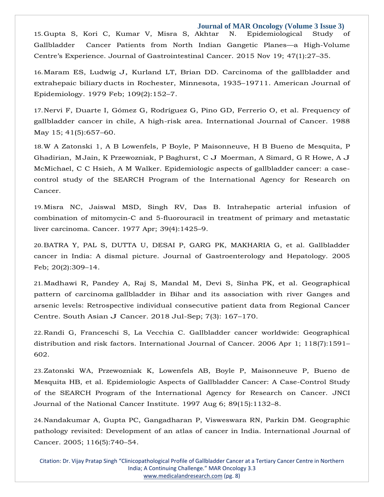15.Gupta S, Kori C, Kumar V, Misra S, [Akhtar N. Epidemiological Study of](https://www.google.com/search?q=Epidemiological%2BStudy%2Bof%2BGallbladder%2BCancer%2BPatients%2Bfrom%2BNorth%2BIndian%2BGangetic%2BPlanes%E2%80%94a%2BHigh-Volume%2BCentre%E2%80%99s%2BExperience&sxsrf=AOaemvIHrKVSVw5h9w70DK8ju5CNj4lFJQ%3A1642864000690&ei=gB3sYeS7KaySr7wPkumt0Ak&ved=0ahUKEwjk-7Kp0cX1AhUsyYsBHZJ0C5oQ4dUDCA4&uact=5&oq=Epidemiological%2BStudy%2Bof%2BGallbladder%2BCancer%2BPatients%2Bfrom%2BNorth%2BIndian%2BGangetic%2BPlanes%E2%80%94a%2BHigh-Volume%2BCentre%E2%80%99s%2BExperience&gs_lcp=Cgdnd3Mtd2l6EAMyBwgjEOoCECcyBwgjEOoCECcyBwgjEOoCECcyBwgjEOoCECcyBwgjEOoCECcyBwgjEOoCECcyBwgjEOoCECcyBwgjEOoCECcyBwgjEOoCECcyBwgjEOoCECdKBAhBGABKBAhGGABQnwVYnwVg1wdoAXACeACAAQCIAQCSAQCYAQCgAQGgAQKwAQrAAQE&sclient=gws-wiz)  [Gallbladder Cancer](https://www.google.com/search?q=Epidemiological%2BStudy%2Bof%2BGallbladder%2BCancer%2BPatients%2Bfrom%2BNorth%2BIndian%2BGangetic%2BPlanes%E2%80%94a%2BHigh-Volume%2BCentre%E2%80%99s%2BExperience&sxsrf=AOaemvIHrKVSVw5h9w70DK8ju5CNj4lFJQ%3A1642864000690&ei=gB3sYeS7KaySr7wPkumt0Ak&ved=0ahUKEwjk-7Kp0cX1AhUsyYsBHZJ0C5oQ4dUDCA4&uact=5&oq=Epidemiological%2BStudy%2Bof%2BGallbladder%2BCancer%2BPatients%2Bfrom%2BNorth%2BIndian%2BGangetic%2BPlanes%E2%80%94a%2BHigh-Volume%2BCentre%E2%80%99s%2BExperience&gs_lcp=Cgdnd3Mtd2l6EAMyBwgjEOoCECcyBwgjEOoCECcyBwgjEOoCECcyBwgjEOoCECcyBwgjEOoCECcyBwgjEOoCECcyBwgjEOoCECcyBwgjEOoCECcyBwgjEOoCECcyBwgjEOoCECdKBAhBGABKBAhGGABQnwVYnwVg1wdoAXACeACAAQCIAQCSAQCYAQCgAQGgAQKwAQrAAQE&sclient=gws-wiz) Patients from North Indian Gangetic Planes—a [High-Volume](https://www.google.com/search?q=Epidemiological%2BStudy%2Bof%2BGallbladder%2BCancer%2BPatients%2Bfrom%2BNorth%2BIndian%2BGangetic%2BPlanes%E2%80%94a%2BHigh-Volume%2BCentre%E2%80%99s%2BExperience&sxsrf=AOaemvIHrKVSVw5h9w70DK8ju5CNj4lFJQ%3A1642864000690&ei=gB3sYeS7KaySr7wPkumt0Ak&ved=0ahUKEwjk-7Kp0cX1AhUsyYsBHZJ0C5oQ4dUDCA4&uact=5&oq=Epidemiological%2BStudy%2Bof%2BGallbladder%2BCancer%2BPatients%2Bfrom%2BNorth%2BIndian%2BGangetic%2BPlanes%E2%80%94a%2BHigh-Volume%2BCentre%E2%80%99s%2BExperience&gs_lcp=Cgdnd3Mtd2l6EAMyBwgjEOoCECcyBwgjEOoCECcyBwgjEOoCECcyBwgjEOoCECcyBwgjEOoCECcyBwgjEOoCECcyBwgjEOoCECcyBwgjEOoCECcyBwgjEOoCECcyBwgjEOoCECdKBAhBGABKBAhGGABQnwVYnwVg1wdoAXACeACAAQCIAQCSAQCYAQCgAQGgAQKwAQrAAQE&sclient=gws-wiz) Centre's [Experience.](https://www.google.com/search?q=Epidemiological%2BStudy%2Bof%2BGallbladder%2BCancer%2BPatients%2Bfrom%2BNorth%2BIndian%2BGangetic%2BPlanes%E2%80%94a%2BHigh-Volume%2BCentre%E2%80%99s%2BExperience&sxsrf=AOaemvIHrKVSVw5h9w70DK8ju5CNj4lFJQ%3A1642864000690&ei=gB3sYeS7KaySr7wPkumt0Ak&ved=0ahUKEwjk-7Kp0cX1AhUsyYsBHZJ0C5oQ4dUDCA4&uact=5&oq=Epidemiological%2BStudy%2Bof%2BGallbladder%2BCancer%2BPatients%2Bfrom%2BNorth%2BIndian%2BGangetic%2BPlanes%E2%80%94a%2BHigh-Volume%2BCentre%E2%80%99s%2BExperience&gs_lcp=Cgdnd3Mtd2l6EAMyBwgjEOoCECcyBwgjEOoCECcyBwgjEOoCECcyBwgjEOoCECcyBwgjEOoCECcyBwgjEOoCECcyBwgjEOoCECcyBwgjEOoCECcyBwgjEOoCECcyBwgjEOoCECdKBAhBGABKBAhGGABQnwVYnwVg1wdoAXACeACAAQCIAQCSAQCYAQCgAQGgAQKwAQrAAQE&sclient=gws-wiz) Journal of [Gastrointestinal](https://www.google.com/search?q=Epidemiological%2BStudy%2Bof%2BGallbladder%2BCancer%2BPatients%2Bfrom%2BNorth%2BIndian%2BGangetic%2BPlanes%E2%80%94a%2BHigh-Volume%2BCentre%E2%80%99s%2BExperience&sxsrf=AOaemvIHrKVSVw5h9w70DK8ju5CNj4lFJQ%3A1642864000690&ei=gB3sYeS7KaySr7wPkumt0Ak&ved=0ahUKEwjk-7Kp0cX1AhUsyYsBHZJ0C5oQ4dUDCA4&uact=5&oq=Epidemiological%2BStudy%2Bof%2BGallbladder%2BCancer%2BPatients%2Bfrom%2BNorth%2BIndian%2BGangetic%2BPlanes%E2%80%94a%2BHigh-Volume%2BCentre%E2%80%99s%2BExperience&gs_lcp=Cgdnd3Mtd2l6EAMyBwgjEOoCECcyBwgjEOoCECcyBwgjEOoCECcyBwgjEOoCECcyBwgjEOoCECcyBwgjEOoCECcyBwgjEOoCECcyBwgjEOoCECcyBwgjEOoCECcyBwgjEOoCECdKBAhBGABKBAhGGABQnwVYnwVg1wdoAXACeACAAQCIAQCSAQCYAQCgAQGgAQKwAQrAAQE&sclient=gws-wiz) Cancer. 2015 Nov 19; 47(1):27–35.

16.Maram ES, Ludwig J, Kurland LT, Brian DD. Carcinoma of the [gallbladder](https://www.google.com/search?q=Carcinoma%2Bof%2Bthe%2Bgallbladder%2Band%2Bextrahepaic%2Bbiliary%2Bducts%2Bin%2BRochester%2C%2BMinnesota%2C%2B1935%E2%80%9319711&sxsrf=AOaemvJFlugFRqVaiEBPiSI_oupoDMhWCw%3A1642864019103&ei=kx3sYdzeBdWUr7wP4bCBgAQ&ved=0ahUKEwic9Jay0cX1AhVVyosBHWFYAEAQ4dUDCA4&uact=5&oq=Carcinoma%2Bof%2Bthe%2Bgallbladder%2Band%2Bextrahepaic%2Bbiliary%2Bducts%2Bin%2BRochester%2C%2BMinnesota%2C%2B1935%E2%80%9319711&gs_lcp=Cgdnd3Mtd2l6EAM6BwgjEOoCECdKBAhBGABKBAhGGABQuwVYuwVgmAhoAXAAeACAAe8BiAHvAZIBAzItMZgBAKABAaABArABCsABAQ&sclient=gws-wiz) and [extrahepaic](https://www.google.com/search?q=Carcinoma%2Bof%2Bthe%2Bgallbladder%2Band%2Bextrahepaic%2Bbiliary%2Bducts%2Bin%2BRochester%2C%2BMinnesota%2C%2B1935%E2%80%9319711&sxsrf=AOaemvJFlugFRqVaiEBPiSI_oupoDMhWCw%3A1642864019103&ei=kx3sYdzeBdWUr7wP4bCBgAQ&ved=0ahUKEwic9Jay0cX1AhVVyosBHWFYAEAQ4dUDCA4&uact=5&oq=Carcinoma%2Bof%2Bthe%2Bgallbladder%2Band%2Bextrahepaic%2Bbiliary%2Bducts%2Bin%2BRochester%2C%2BMinnesota%2C%2B1935%E2%80%9319711&gs_lcp=Cgdnd3Mtd2l6EAM6BwgjEOoCECdKBAhBGABKBAhGGABQuwVYuwVgmAhoAXAAeACAAe8BiAHvAZIBAzItMZgBAKABAaABArABCsABAQ&sclient=gws-wiz) biliary ducts in Rochester, [Minnesota,](https://www.google.com/search?q=Carcinoma%2Bof%2Bthe%2Bgallbladder%2Band%2Bextrahepaic%2Bbiliary%2Bducts%2Bin%2BRochester%2C%2BMinnesota%2C%2B1935%E2%80%9319711&sxsrf=AOaemvJFlugFRqVaiEBPiSI_oupoDMhWCw%3A1642864019103&ei=kx3sYdzeBdWUr7wP4bCBgAQ&ved=0ahUKEwic9Jay0cX1AhVVyosBHWFYAEAQ4dUDCA4&uact=5&oq=Carcinoma%2Bof%2Bthe%2Bgallbladder%2Band%2Bextrahepaic%2Bbiliary%2Bducts%2Bin%2BRochester%2C%2BMinnesota%2C%2B1935%E2%80%9319711&gs_lcp=Cgdnd3Mtd2l6EAM6BwgjEOoCECdKBAhBGABKBAhGGABQuwVYuwVgmAhoAXAAeACAAe8BiAHvAZIBAzItMZgBAKABAaABArABCsABAQ&sclient=gws-wiz) 1935–19711. American Journal of [Epidemiology.](https://www.google.com/search?q=Carcinoma%2Bof%2Bthe%2Bgallbladder%2Band%2Bextrahepaic%2Bbiliary%2Bducts%2Bin%2BRochester%2C%2BMinnesota%2C%2B1935%E2%80%9319711&sxsrf=AOaemvJFlugFRqVaiEBPiSI_oupoDMhWCw%3A1642864019103&ei=kx3sYdzeBdWUr7wP4bCBgAQ&ved=0ahUKEwic9Jay0cX1AhVVyosBHWFYAEAQ4dUDCA4&uact=5&oq=Carcinoma%2Bof%2Bthe%2Bgallbladder%2Band%2Bextrahepaic%2Bbiliary%2Bducts%2Bin%2BRochester%2C%2BMinnesota%2C%2B1935%E2%80%9319711&gs_lcp=Cgdnd3Mtd2l6EAM6BwgjEOoCECdKBAhBGABKBAhGGABQuwVYuwVgmAhoAXAAeACAAe8BiAHvAZIBAzItMZgBAKABAaABArABCsABAQ&sclient=gws-wiz) 1979 Feb; [109\(2\):152](https://www.google.com/search?q=Carcinoma%2Bof%2Bthe%2Bgallbladder%2Band%2Bextrahepaic%2Bbiliary%2Bducts%2Bin%2BRochester%2C%2BMinnesota%2C%2B1935%E2%80%9319711&sxsrf=AOaemvJFlugFRqVaiEBPiSI_oupoDMhWCw%3A1642864019103&ei=kx3sYdzeBdWUr7wP4bCBgAQ&ved=0ahUKEwic9Jay0cX1AhVVyosBHWFYAEAQ4dUDCA4&uact=5&oq=Carcinoma%2Bof%2Bthe%2Bgallbladder%2Band%2Bextrahepaic%2Bbiliary%2Bducts%2Bin%2BRochester%2C%2BMinnesota%2C%2B1935%E2%80%9319711&gs_lcp=Cgdnd3Mtd2l6EAM6BwgjEOoCECdKBAhBGABKBAhGGABQuwVYuwVgmAhoAXAAeACAAe8BiAHvAZIBAzItMZgBAKABAaABArABCsABAQ&sclient=gws-wiz)–7.

17.[Nervi F, Duarte I, Gómez G, Rodríguez G, Pino GD, Ferrerio O, et al. Frequency of](https://www.google.com/search?q=Frequency%2Bof%2Bgallbladder%2Bcancer%2Bin%2Bchile%2C%2BA%2Bhigh-risk%2Barea&sxsrf=AOaemvLniPJbGViA5drAvDrzwxZwb2btRQ%3A1642864036626&ei=pB3sYdHBJcuLr7wP7dSR4A4&ved=0ahUKEwjRo8S60cX1AhXLxYsBHW1qBOwQ4dUDCA4&uact=5&oq=Frequency%2Bof%2Bgallbladder%2Bcancer%2Bin%2Bchile%2C%2BA%2Bhigh-risk%2Barea&gs_lcp=Cgdnd3Mtd2l6EAMyBwgjEOoCECcyBwgjEOoCECcyBwgjEOoCECcyBwgjEOoCECcyBwgjEOoCECcyBwgjEOoCECcyBwgjEOoCECcyBwgjEOoCECcyBwgjEOoCECcyBwgjEOoCECdKBAhBGABKBAhGGABQlQVYlQVgowdoAXAAeACAAQCIAQCSAQCYAQCgAQGgAQKwAQrAAQE&sclient=gws-wiz)  [gallbladder](https://www.google.com/search?q=Frequency%2Bof%2Bgallbladder%2Bcancer%2Bin%2Bchile%2C%2BA%2Bhigh-risk%2Barea&sxsrf=AOaemvLniPJbGViA5drAvDrzwxZwb2btRQ%3A1642864036626&ei=pB3sYdHBJcuLr7wP7dSR4A4&ved=0ahUKEwjRo8S60cX1AhXLxYsBHW1qBOwQ4dUDCA4&uact=5&oq=Frequency%2Bof%2Bgallbladder%2Bcancer%2Bin%2Bchile%2C%2BA%2Bhigh-risk%2Barea&gs_lcp=Cgdnd3Mtd2l6EAMyBwgjEOoCECcyBwgjEOoCECcyBwgjEOoCECcyBwgjEOoCECcyBwgjEOoCECcyBwgjEOoCECcyBwgjEOoCECcyBwgjEOoCECcyBwgjEOoCECcyBwgjEOoCECdKBAhBGABKBAhGGABQlQVYlQVgowdoAXAAeACAAQCIAQCSAQCYAQCgAQGgAQKwAQrAAQE&sclient=gws-wiz) cancer in chile, A high-risk area. [International](https://www.google.com/search?q=Frequency%2Bof%2Bgallbladder%2Bcancer%2Bin%2Bchile%2C%2BA%2Bhigh-risk%2Barea&sxsrf=AOaemvLniPJbGViA5drAvDrzwxZwb2btRQ%3A1642864036626&ei=pB3sYdHBJcuLr7wP7dSR4A4&ved=0ahUKEwjRo8S60cX1AhXLxYsBHW1qBOwQ4dUDCA4&uact=5&oq=Frequency%2Bof%2Bgallbladder%2Bcancer%2Bin%2Bchile%2C%2BA%2Bhigh-risk%2Barea&gs_lcp=Cgdnd3Mtd2l6EAMyBwgjEOoCECcyBwgjEOoCECcyBwgjEOoCECcyBwgjEOoCECcyBwgjEOoCECcyBwgjEOoCECcyBwgjEOoCECcyBwgjEOoCECcyBwgjEOoCECcyBwgjEOoCECdKBAhBGABKBAhGGABQlQVYlQVgowdoAXAAeACAAQCIAQCSAQCYAQCgAQGgAQKwAQrAAQE&sclient=gws-wiz) Journal of Cancer. 1988 May 15; [41\(5\):657](https://www.google.com/search?q=Frequency%2Bof%2Bgallbladder%2Bcancer%2Bin%2Bchile%2C%2BA%2Bhigh-risk%2Barea&sxsrf=AOaemvLniPJbGViA5drAvDrzwxZwb2btRQ%3A1642864036626&ei=pB3sYdHBJcuLr7wP7dSR4A4&ved=0ahUKEwjRo8S60cX1AhXLxYsBHW1qBOwQ4dUDCA4&uact=5&oq=Frequency%2Bof%2Bgallbladder%2Bcancer%2Bin%2Bchile%2C%2BA%2Bhigh-risk%2Barea&gs_lcp=Cgdnd3Mtd2l6EAMyBwgjEOoCECcyBwgjEOoCECcyBwgjEOoCECcyBwgjEOoCECcyBwgjEOoCECcyBwgjEOoCECcyBwgjEOoCECcyBwgjEOoCECcyBwgjEOoCECcyBwgjEOoCECdKBAhBGABKBAhGGABQlQVYlQVgowdoAXAAeACAAQCIAQCSAQCYAQCgAQGgAQKwAQrAAQE&sclient=gws-wiz)–60.

18.W A Zatonski 1, A B Lowenfels, P Boyle, P Maisonneuve, H B Bueno de Mesquita, P [Ghadirian,](https://www.google.com/search?q=Epidemiologic%2Baspects%2Bof%2Bgallbladder%2Bcancer%3A%2Ba%2Bcase-control%2Bstudy%2Bof%2Bthe%2BSEARCH%2BProgram%2Bof%2Bthe%2BInternational%2BAgency%2Bfor%2BResearch%2Bon%2BCancer&sxsrf=AOaemvJjLgO1d8HFvmJpfCELRU1mjScOtQ%3A1642864055042&ei=tx3sYbX-AYiM0wTm76qADw&ved=0ahUKEwj1tajD0cX1AhUIxpQKHea3CvAQ4dUDCA4&uact=5&oq=Epidemiologic%2Baspects%2Bof%2Bgallbladder%2Bcancer%3A%2Ba%2Bcase-control%2Bstudy%2Bof%2Bthe%2BSEARCH%2BProgram%2Bof%2Bthe%2BInternational%2BAgency%2Bfor%2BResearch%2Bon%2BCancer&gs_lcp=Cgdnd3Mtd2l6EAMyBwgjEOoCECcyBwgjEOoCECcyBwgjEOoCECcyBwgjEOoCECcyBwgjEOoCECcyBwgjEOoCECcyBwgjEOoCECcyBwgjEOoCECcyBwgjEOoCECcyBwgjEOoCECdKBAhBGABKBAhGGABQvAZYvAZgxgloAXAAeACAAQCIAQCSAQCYAQCgAQGgAQKwAQrAAQE&sclient=gws-wiz) [MJain, K Przewozniak, P Baghurst, C J Moerman, A Simard, G R Howe, A J](https://www.google.com/search?q=Epidemiologic%2Baspects%2Bof%2Bgallbladder%2Bcancer%3A%2Ba%2Bcase-control%2Bstudy%2Bof%2Bthe%2BSEARCH%2BProgram%2Bof%2Bthe%2BInternational%2BAgency%2Bfor%2BResearch%2Bon%2BCancer&sxsrf=AOaemvJjLgO1d8HFvmJpfCELRU1mjScOtQ%3A1642864055042&ei=tx3sYbX-AYiM0wTm76qADw&ved=0ahUKEwj1tajD0cX1AhUIxpQKHea3CvAQ4dUDCA4&uact=5&oq=Epidemiologic%2Baspects%2Bof%2Bgallbladder%2Bcancer%3A%2Ba%2Bcase-control%2Bstudy%2Bof%2Bthe%2BSEARCH%2BProgram%2Bof%2Bthe%2BInternational%2BAgency%2Bfor%2BResearch%2Bon%2BCancer&gs_lcp=Cgdnd3Mtd2l6EAMyBwgjEOoCECcyBwgjEOoCECcyBwgjEOoCECcyBwgjEOoCECcyBwgjEOoCECcyBwgjEOoCECcyBwgjEOoCECcyBwgjEOoCECcyBwgjEOoCECcyBwgjEOoCECdKBAhBGABKBAhGGABQvAZYvAZgxgloAXAAeACAAQCIAQCSAQCYAQCgAQGgAQKwAQrAAQE&sclient=gws-wiz)  [McMichael, C C Hsieh, A M](https://www.google.com/search?q=Epidemiologic%2Baspects%2Bof%2Bgallbladder%2Bcancer%3A%2Ba%2Bcase-control%2Bstudy%2Bof%2Bthe%2BSEARCH%2BProgram%2Bof%2Bthe%2BInternational%2BAgency%2Bfor%2BResearch%2Bon%2BCancer&sxsrf=AOaemvJjLgO1d8HFvmJpfCELRU1mjScOtQ%3A1642864055042&ei=tx3sYbX-AYiM0wTm76qADw&ved=0ahUKEwj1tajD0cX1AhUIxpQKHea3CvAQ4dUDCA4&uact=5&oq=Epidemiologic%2Baspects%2Bof%2Bgallbladder%2Bcancer%3A%2Ba%2Bcase-control%2Bstudy%2Bof%2Bthe%2BSEARCH%2BProgram%2Bof%2Bthe%2BInternational%2BAgency%2Bfor%2BResearch%2Bon%2BCancer&gs_lcp=Cgdnd3Mtd2l6EAMyBwgjEOoCECcyBwgjEOoCECcyBwgjEOoCECcyBwgjEOoCECcyBwgjEOoCECcyBwgjEOoCECcyBwgjEOoCECcyBwgjEOoCECcyBwgjEOoCECcyBwgjEOoCECdKBAhBGABKBAhGGABQvAZYvAZgxgloAXAAeACAAQCIAQCSAQCYAQCgAQGgAQKwAQrAAQE&sclient=gws-wiz) [Walker. Epidemiologic aspects of gallbladder cancer: a case](https://www.google.com/search?q=Epidemiologic%2Baspects%2Bof%2Bgallbladder%2Bcancer%3A%2Ba%2Bcase-control%2Bstudy%2Bof%2Bthe%2BSEARCH%2BProgram%2Bof%2Bthe%2BInternational%2BAgency%2Bfor%2BResearch%2Bon%2BCancer&sxsrf=AOaemvJjLgO1d8HFvmJpfCELRU1mjScOtQ%3A1642864055042&ei=tx3sYbX-AYiM0wTm76qADw&ved=0ahUKEwj1tajD0cX1AhUIxpQKHea3CvAQ4dUDCA4&uact=5&oq=Epidemiologic%2Baspects%2Bof%2Bgallbladder%2Bcancer%3A%2Ba%2Bcase-control%2Bstudy%2Bof%2Bthe%2BSEARCH%2BProgram%2Bof%2Bthe%2BInternational%2BAgency%2Bfor%2BResearch%2Bon%2BCancer&gs_lcp=Cgdnd3Mtd2l6EAMyBwgjEOoCECcyBwgjEOoCECcyBwgjEOoCECcyBwgjEOoCECcyBwgjEOoCECcyBwgjEOoCECcyBwgjEOoCECcyBwgjEOoCECcyBwgjEOoCECcyBwgjEOoCECdKBAhBGABKBAhGGABQvAZYvAZgxgloAXAAeACAAQCIAQCSAQCYAQCgAQGgAQKwAQrAAQE&sclient=gws-wiz)[control study of the SEARCH Program of](https://www.google.com/search?q=Epidemiologic%2Baspects%2Bof%2Bgallbladder%2Bcancer%3A%2Ba%2Bcase-control%2Bstudy%2Bof%2Bthe%2BSEARCH%2BProgram%2Bof%2Bthe%2BInternational%2BAgency%2Bfor%2BResearch%2Bon%2BCancer&sxsrf=AOaemvJjLgO1d8HFvmJpfCELRU1mjScOtQ%3A1642864055042&ei=tx3sYbX-AYiM0wTm76qADw&ved=0ahUKEwj1tajD0cX1AhUIxpQKHea3CvAQ4dUDCA4&uact=5&oq=Epidemiologic%2Baspects%2Bof%2Bgallbladder%2Bcancer%3A%2Ba%2Bcase-control%2Bstudy%2Bof%2Bthe%2BSEARCH%2BProgram%2Bof%2Bthe%2BInternational%2BAgency%2Bfor%2BResearch%2Bon%2BCancer&gs_lcp=Cgdnd3Mtd2l6EAMyBwgjEOoCECcyBwgjEOoCECcyBwgjEOoCECcyBwgjEOoCECcyBwgjEOoCECcyBwgjEOoCECcyBwgjEOoCECcyBwgjEOoCECcyBwgjEOoCECcyBwgjEOoCECdKBAhBGABKBAhGGABQvAZYvAZgxgloAXAAeACAAQCIAQCSAQCYAQCgAQGgAQKwAQrAAQE&sclient=gws-wiz) the [International](https://www.google.com/search?q=Epidemiologic%2Baspects%2Bof%2Bgallbladder%2Bcancer%3A%2Ba%2Bcase-control%2Bstudy%2Bof%2Bthe%2BSEARCH%2BProgram%2Bof%2Bthe%2BInternational%2BAgency%2Bfor%2BResearch%2Bon%2BCancer&sxsrf=AOaemvJjLgO1d8HFvmJpfCELRU1mjScOtQ%3A1642864055042&ei=tx3sYbX-AYiM0wTm76qADw&ved=0ahUKEwj1tajD0cX1AhUIxpQKHea3CvAQ4dUDCA4&uact=5&oq=Epidemiologic%2Baspects%2Bof%2Bgallbladder%2Bcancer%3A%2Ba%2Bcase-control%2Bstudy%2Bof%2Bthe%2BSEARCH%2BProgram%2Bof%2Bthe%2BInternational%2BAgency%2Bfor%2BResearch%2Bon%2BCancer&gs_lcp=Cgdnd3Mtd2l6EAMyBwgjEOoCECcyBwgjEOoCECcyBwgjEOoCECcyBwgjEOoCECcyBwgjEOoCECcyBwgjEOoCECcyBwgjEOoCECcyBwgjEOoCECcyBwgjEOoCECcyBwgjEOoCECdKBAhBGABKBAhGGABQvAZYvAZgxgloAXAAeACAAQCIAQCSAQCYAQCgAQGgAQKwAQrAAQE&sclient=gws-wiz) Agency for Research on [Cancer.](https://www.google.com/search?q=Epidemiologic%2Baspects%2Bof%2Bgallbladder%2Bcancer%3A%2Ba%2Bcase-control%2Bstudy%2Bof%2Bthe%2BSEARCH%2BProgram%2Bof%2Bthe%2BInternational%2BAgency%2Bfor%2BResearch%2Bon%2BCancer&sxsrf=AOaemvJjLgO1d8HFvmJpfCELRU1mjScOtQ%3A1642864055042&ei=tx3sYbX-AYiM0wTm76qADw&ved=0ahUKEwj1tajD0cX1AhUIxpQKHea3CvAQ4dUDCA4&uact=5&oq=Epidemiologic%2Baspects%2Bof%2Bgallbladder%2Bcancer%3A%2Ba%2Bcase-control%2Bstudy%2Bof%2Bthe%2BSEARCH%2BProgram%2Bof%2Bthe%2BInternational%2BAgency%2Bfor%2BResearch%2Bon%2BCancer&gs_lcp=Cgdnd3Mtd2l6EAMyBwgjEOoCECcyBwgjEOoCECcyBwgjEOoCECcyBwgjEOoCECcyBwgjEOoCECcyBwgjEOoCECcyBwgjEOoCECcyBwgjEOoCECcyBwgjEOoCECcyBwgjEOoCECdKBAhBGABKBAhGGABQvAZYvAZgxgloAXAAeACAAQCIAQCSAQCYAQCgAQGgAQKwAQrAAQE&sclient=gws-wiz)

19.Misra NC, Jaiswal MSD, Singh RV, Das B. [Intrahepatic](https://www.google.com/search?q=Intrahepatic%2Barterial%2Binfusion%2Bof%2Bcombination%2Bof%2Bmitomycin-C%2Band%2B5-fluorouracil%2Bin%2Btreatment%2Bof%2Bprimary%2Band%2Bmetastatic%2Bliver%2Bcarcinoma&sxsrf=AOaemvIsIwr4ZjdmAx2-FhuKb990dSqy0w%3A1642864092075&ei=3B3sYfqIBPec4-EP2pmkuAQ&ved=0ahUKEwj65vzU0cX1AhV3zjgGHdoMCUcQ4dUDCA4&uact=5&oq=Intrahepatic%2Barterial%2Binfusion%2Bof%2Bcombination%2Bof%2Bmitomycin-C%2Band%2B5-fluorouracil%2Bin%2Btreatment%2Bof%2Bprimary%2Band%2Bmetastatic%2Bliver%2Bcarcinoma&gs_lcp=Cgdnd3Mtd2l6EAMyBwgjEOoCECcyBwgjEOoCECcyBwgjEOoCECcyBwgjEOoCECcyBwgjEOoCECcyBwgjEOoCECcyBwgjEOoCECcyBwgjEOoCECcyBwgjEOoCECcyBwgjEOoCECdKBAhBGABKBAhGGABQ7QVY7QVguAhoAXAAeACAAQCIAQCSAQCYAQCgAQGgAQKwAQrAAQE&sclient=gws-wiz) arterial infusion of [combination](https://www.google.com/search?q=Intrahepatic%2Barterial%2Binfusion%2Bof%2Bcombination%2Bof%2Bmitomycin-C%2Band%2B5-fluorouracil%2Bin%2Btreatment%2Bof%2Bprimary%2Band%2Bmetastatic%2Bliver%2Bcarcinoma&sxsrf=AOaemvIsIwr4ZjdmAx2-FhuKb990dSqy0w%3A1642864092075&ei=3B3sYfqIBPec4-EP2pmkuAQ&ved=0ahUKEwj65vzU0cX1AhV3zjgGHdoMCUcQ4dUDCA4&uact=5&oq=Intrahepatic%2Barterial%2Binfusion%2Bof%2Bcombination%2Bof%2Bmitomycin-C%2Band%2B5-fluorouracil%2Bin%2Btreatment%2Bof%2Bprimary%2Band%2Bmetastatic%2Bliver%2Bcarcinoma&gs_lcp=Cgdnd3Mtd2l6EAMyBwgjEOoCECcyBwgjEOoCECcyBwgjEOoCECcyBwgjEOoCECcyBwgjEOoCECcyBwgjEOoCECcyBwgjEOoCECcyBwgjEOoCECcyBwgjEOoCECcyBwgjEOoCECdKBAhBGABKBAhGGABQ7QVY7QVguAhoAXAAeACAAQCIAQCSAQCYAQCgAQGgAQKwAQrAAQE&sclient=gws-wiz) of [mitomycin-C and 5-fluorouracil in treatment of primary and metastatic](https://www.google.com/search?q=Intrahepatic%2Barterial%2Binfusion%2Bof%2Bcombination%2Bof%2Bmitomycin-C%2Band%2B5-fluorouracil%2Bin%2Btreatment%2Bof%2Bprimary%2Band%2Bmetastatic%2Bliver%2Bcarcinoma&sxsrf=AOaemvIsIwr4ZjdmAx2-FhuKb990dSqy0w%3A1642864092075&ei=3B3sYfqIBPec4-EP2pmkuAQ&ved=0ahUKEwj65vzU0cX1AhV3zjgGHdoMCUcQ4dUDCA4&uact=5&oq=Intrahepatic%2Barterial%2Binfusion%2Bof%2Bcombination%2Bof%2Bmitomycin-C%2Band%2B5-fluorouracil%2Bin%2Btreatment%2Bof%2Bprimary%2Band%2Bmetastatic%2Bliver%2Bcarcinoma&gs_lcp=Cgdnd3Mtd2l6EAMyBwgjEOoCECcyBwgjEOoCECcyBwgjEOoCECcyBwgjEOoCECcyBwgjEOoCECcyBwgjEOoCECcyBwgjEOoCECcyBwgjEOoCECcyBwgjEOoCECcyBwgjEOoCECdKBAhBGABKBAhGGABQ7QVY7QVguAhoAXAAeACAAQCIAQCSAQCYAQCgAQGgAQKwAQrAAQE&sclient=gws-wiz)  [liver carcinoma. Cancer. 1977](https://www.google.com/search?q=Intrahepatic%2Barterial%2Binfusion%2Bof%2Bcombination%2Bof%2Bmitomycin-C%2Band%2B5-fluorouracil%2Bin%2Btreatment%2Bof%2Bprimary%2Band%2Bmetastatic%2Bliver%2Bcarcinoma&sxsrf=AOaemvIsIwr4ZjdmAx2-FhuKb990dSqy0w%3A1642864092075&ei=3B3sYfqIBPec4-EP2pmkuAQ&ved=0ahUKEwj65vzU0cX1AhV3zjgGHdoMCUcQ4dUDCA4&uact=5&oq=Intrahepatic%2Barterial%2Binfusion%2Bof%2Bcombination%2Bof%2Bmitomycin-C%2Band%2B5-fluorouracil%2Bin%2Btreatment%2Bof%2Bprimary%2Band%2Bmetastatic%2Bliver%2Bcarcinoma&gs_lcp=Cgdnd3Mtd2l6EAMyBwgjEOoCECcyBwgjEOoCECcyBwgjEOoCECcyBwgjEOoCECcyBwgjEOoCECcyBwgjEOoCECcyBwgjEOoCECcyBwgjEOoCECcyBwgjEOoCECcyBwgjEOoCECdKBAhBGABKBAhGGABQ7QVY7QVguAhoAXAAeACAAQCIAQCSAQCYAQCgAQGgAQKwAQrAAQE&sclient=gws-wiz) Apr; [39\(4\):1425](https://www.google.com/search?q=Intrahepatic%2Barterial%2Binfusion%2Bof%2Bcombination%2Bof%2Bmitomycin-C%2Band%2B5-fluorouracil%2Bin%2Btreatment%2Bof%2Bprimary%2Band%2Bmetastatic%2Bliver%2Bcarcinoma&sxsrf=AOaemvIsIwr4ZjdmAx2-FhuKb990dSqy0w%3A1642864092075&ei=3B3sYfqIBPec4-EP2pmkuAQ&ved=0ahUKEwj65vzU0cX1AhV3zjgGHdoMCUcQ4dUDCA4&uact=5&oq=Intrahepatic%2Barterial%2Binfusion%2Bof%2Bcombination%2Bof%2Bmitomycin-C%2Band%2B5-fluorouracil%2Bin%2Btreatment%2Bof%2Bprimary%2Band%2Bmetastatic%2Bliver%2Bcarcinoma&gs_lcp=Cgdnd3Mtd2l6EAMyBwgjEOoCECcyBwgjEOoCECcyBwgjEOoCECcyBwgjEOoCECcyBwgjEOoCECcyBwgjEOoCECcyBwgjEOoCECcyBwgjEOoCECcyBwgjEOoCECcyBwgjEOoCECdKBAhBGABKBAhGGABQ7QVY7QVguAhoAXAAeACAAQCIAQCSAQCYAQCgAQGgAQKwAQrAAQE&sclient=gws-wiz)–9.

20.[BATRA Y, PAL S, DUTTA U, DESAI P, GARG PK, MAKHARIA G, et al. Gallbladder](https://www.google.com/search?q=Gallbladder%2Bcancer%2Bin%2BIndia%3A%2BA%2Bdismal%2Bpicture&sxsrf=AOaemvIXVt6vP08zlhZ7Vc6FoGilN6csUA%3A1642864113301&ei=8R3sYYfdEeqR4-EPqu-6yAY&ved=0ahUKEwjHmYzf0cX1AhXqyDgGHaq3DmkQ4dUDCA4&uact=5&oq=Gallbladder%2Bcancer%2Bin%2BIndia%3A%2BA%2Bdismal%2Bpicture&gs_lcp=Cgdnd3Mtd2l6EAM6BwgjEOoCECdKBAhBGABKBAhGGABQ0wZY0wZgywloAXAAeACAAfgBiAH4AZIBAzItMZgBAKABAaABArABCsABAQ&sclient=gws-wiz)  [cancer in India: A](https://www.google.com/search?q=Gallbladder%2Bcancer%2Bin%2BIndia%3A%2BA%2Bdismal%2Bpicture&sxsrf=AOaemvIXVt6vP08zlhZ7Vc6FoGilN6csUA%3A1642864113301&ei=8R3sYYfdEeqR4-EPqu-6yAY&ved=0ahUKEwjHmYzf0cX1AhXqyDgGHaq3DmkQ4dUDCA4&uact=5&oq=Gallbladder%2Bcancer%2Bin%2BIndia%3A%2BA%2Bdismal%2Bpicture&gs_lcp=Cgdnd3Mtd2l6EAM6BwgjEOoCECdKBAhBGABKBAhGGABQ0wZY0wZgywloAXAAeACAAfgBiAH4AZIBAzItMZgBAKABAaABArABCsABAQ&sclient=gws-wiz) dismal picture. Journal of [Gastroenterology](https://www.google.com/search?q=Gallbladder%2Bcancer%2Bin%2BIndia%3A%2BA%2Bdismal%2Bpicture&sxsrf=AOaemvIXVt6vP08zlhZ7Vc6FoGilN6csUA%3A1642864113301&ei=8R3sYYfdEeqR4-EPqu-6yAY&ved=0ahUKEwjHmYzf0cX1AhXqyDgGHaq3DmkQ4dUDCA4&uact=5&oq=Gallbladder%2Bcancer%2Bin%2BIndia%3A%2BA%2Bdismal%2Bpicture&gs_lcp=Cgdnd3Mtd2l6EAM6BwgjEOoCECdKBAhBGABKBAhGGABQ0wZY0wZgywloAXAAeACAAfgBiAH4AZIBAzItMZgBAKABAaABArABCsABAQ&sclient=gws-wiz) and Hepatology. 2005 Feb; [20\(2\):309](https://www.google.com/search?q=Gallbladder%2Bcancer%2Bin%2BIndia%3A%2BA%2Bdismal%2Bpicture&sxsrf=AOaemvIXVt6vP08zlhZ7Vc6FoGilN6csUA%3A1642864113301&ei=8R3sYYfdEeqR4-EPqu-6yAY&ved=0ahUKEwjHmYzf0cX1AhXqyDgGHaq3DmkQ4dUDCA4&uact=5&oq=Gallbladder%2Bcancer%2Bin%2BIndia%3A%2BA%2Bdismal%2Bpicture&gs_lcp=Cgdnd3Mtd2l6EAM6BwgjEOoCECdKBAhBGABKBAhGGABQ0wZY0wZgywloAXAAeACAAfgBiAH4AZIBAzItMZgBAKABAaABArABCsABAQ&sclient=gws-wiz)–14.

21.Madhawi R, Pandey A, Raj S, Mandal M, Devi S, Sinha PK, et al. [Geographical](https://www.google.com/search?q=Geographical%2Bpattern%2Bof%2Bcarcinoma%2Bgallbladder%2Bin%2BBihar%2Band%2Bits%2Bassociation%2Bwith%2Briver%2BGanges%2Band%2Barsenic%2Blevels%3A%2BRetrospective%2Bindividual%2Bconsecutive%2Bpatient%2Bdata%2Bfrom%2BRegional%2BCancer%2BCentre&sxsrf=AOaemvJAJDI5_XfiWEHuxwU7z0ux-o6-kw%3A1642864131612&ei=Ax7sYdnvJO_F4-EPn5aYmAk&ved=0ahUKEwiZ_enn0cX1AhXv4jgGHR8LBpMQ4dUDCA4&uact=5&oq=Geographical%2Bpattern%2Bof%2Bcarcinoma%2Bgallbladder%2Bin%2BBihar%2Band%2Bits%2Bassociation%2Bwith%2Briver%2BGanges%2Band%2Barsenic%2Blevels%3A%2BRetrospective%2Bindividual%2Bconsecutive%2Bpatient%2Bdata%2Bfrom%2BRegional%2BCancer%2BCentre&gs_lcp=Cgdnd3Mtd2l6EAMyBwgjEOoCECcyBwgjEOoCECcyBwgjEOoCECcyBwgjEOoCECcyBwgjEOoCECcyBwgjEOoCECcyBwgjEOoCECcyBwgjEOoCECcyBwgjEOoCECcyBwgjEOoCECdKBAhBGABKBAhGGABQ9QdY9QdgtAxoAXACeACAAQCIAQCSAQCYAQCgAQGgAQKwAQrAAQE&sclient=gws-wiz) pattern of [carcinoma](https://www.google.com/search?q=Geographical%2Bpattern%2Bof%2Bcarcinoma%2Bgallbladder%2Bin%2BBihar%2Band%2Bits%2Bassociation%2Bwith%2Briver%2BGanges%2Band%2Barsenic%2Blevels%3A%2BRetrospective%2Bindividual%2Bconsecutive%2Bpatient%2Bdata%2Bfrom%2BRegional%2BCancer%2BCentre&sxsrf=AOaemvJAJDI5_XfiWEHuxwU7z0ux-o6-kw%3A1642864131612&ei=Ax7sYdnvJO_F4-EPn5aYmAk&ved=0ahUKEwiZ_enn0cX1AhXv4jgGHR8LBpMQ4dUDCA4&uact=5&oq=Geographical%2Bpattern%2Bof%2Bcarcinoma%2Bgallbladder%2Bin%2BBihar%2Band%2Bits%2Bassociation%2Bwith%2Briver%2BGanges%2Band%2Barsenic%2Blevels%3A%2BRetrospective%2Bindividual%2Bconsecutive%2Bpatient%2Bdata%2Bfrom%2BRegional%2BCancer%2BCentre&gs_lcp=Cgdnd3Mtd2l6EAMyBwgjEOoCECcyBwgjEOoCECcyBwgjEOoCECcyBwgjEOoCECcyBwgjEOoCECcyBwgjEOoCECcyBwgjEOoCECcyBwgjEOoCECcyBwgjEOoCECcyBwgjEOoCECdKBAhBGABKBAhGGABQ9QdY9QdgtAxoAXACeACAAQCIAQCSAQCYAQCgAQGgAQKwAQrAAQE&sclient=gws-wiz) [gallbladder in Bihar and its association with river Ganges and](https://www.google.com/search?q=Geographical%2Bpattern%2Bof%2Bcarcinoma%2Bgallbladder%2Bin%2BBihar%2Band%2Bits%2Bassociation%2Bwith%2Briver%2BGanges%2Band%2Barsenic%2Blevels%3A%2BRetrospective%2Bindividual%2Bconsecutive%2Bpatient%2Bdata%2Bfrom%2BRegional%2BCancer%2BCentre&sxsrf=AOaemvJAJDI5_XfiWEHuxwU7z0ux-o6-kw%3A1642864131612&ei=Ax7sYdnvJO_F4-EPn5aYmAk&ved=0ahUKEwiZ_enn0cX1AhXv4jgGHR8LBpMQ4dUDCA4&uact=5&oq=Geographical%2Bpattern%2Bof%2Bcarcinoma%2Bgallbladder%2Bin%2BBihar%2Band%2Bits%2Bassociation%2Bwith%2Briver%2BGanges%2Band%2Barsenic%2Blevels%3A%2BRetrospective%2Bindividual%2Bconsecutive%2Bpatient%2Bdata%2Bfrom%2BRegional%2BCancer%2BCentre&gs_lcp=Cgdnd3Mtd2l6EAMyBwgjEOoCECcyBwgjEOoCECcyBwgjEOoCECcyBwgjEOoCECcyBwgjEOoCECcyBwgjEOoCECcyBwgjEOoCECcyBwgjEOoCECcyBwgjEOoCECcyBwgjEOoCECdKBAhBGABKBAhGGABQ9QdY9QdgtAxoAXACeACAAQCIAQCSAQCYAQCgAQGgAQKwAQrAAQE&sclient=gws-wiz)  [arsenic levels: Retrospective individual](https://www.google.com/search?q=Geographical%2Bpattern%2Bof%2Bcarcinoma%2Bgallbladder%2Bin%2BBihar%2Band%2Bits%2Bassociation%2Bwith%2Briver%2BGanges%2Band%2Barsenic%2Blevels%3A%2BRetrospective%2Bindividual%2Bconsecutive%2Bpatient%2Bdata%2Bfrom%2BRegional%2BCancer%2BCentre&sxsrf=AOaemvJAJDI5_XfiWEHuxwU7z0ux-o6-kw%3A1642864131612&ei=Ax7sYdnvJO_F4-EPn5aYmAk&ved=0ahUKEwiZ_enn0cX1AhXv4jgGHR8LBpMQ4dUDCA4&uact=5&oq=Geographical%2Bpattern%2Bof%2Bcarcinoma%2Bgallbladder%2Bin%2BBihar%2Band%2Bits%2Bassociation%2Bwith%2Briver%2BGanges%2Band%2Barsenic%2Blevels%3A%2BRetrospective%2Bindividual%2Bconsecutive%2Bpatient%2Bdata%2Bfrom%2BRegional%2BCancer%2BCentre&gs_lcp=Cgdnd3Mtd2l6EAMyBwgjEOoCECcyBwgjEOoCECcyBwgjEOoCECcyBwgjEOoCECcyBwgjEOoCECcyBwgjEOoCECcyBwgjEOoCECcyBwgjEOoCECcyBwgjEOoCECcyBwgjEOoCECdKBAhBGABKBAhGGABQ9QdY9QdgtAxoAXACeACAAQCIAQCSAQCYAQCgAQGgAQKwAQrAAQE&sclient=gws-wiz) [consecutive patient data from Regional Cancer](https://www.google.com/search?q=Geographical%2Bpattern%2Bof%2Bcarcinoma%2Bgallbladder%2Bin%2BBihar%2Band%2Bits%2Bassociation%2Bwith%2Briver%2BGanges%2Band%2Barsenic%2Blevels%3A%2BRetrospective%2Bindividual%2Bconsecutive%2Bpatient%2Bdata%2Bfrom%2BRegional%2BCancer%2BCentre&sxsrf=AOaemvJAJDI5_XfiWEHuxwU7z0ux-o6-kw%3A1642864131612&ei=Ax7sYdnvJO_F4-EPn5aYmAk&ved=0ahUKEwiZ_enn0cX1AhXv4jgGHR8LBpMQ4dUDCA4&uact=5&oq=Geographical%2Bpattern%2Bof%2Bcarcinoma%2Bgallbladder%2Bin%2BBihar%2Band%2Bits%2Bassociation%2Bwith%2Briver%2BGanges%2Band%2Barsenic%2Blevels%3A%2BRetrospective%2Bindividual%2Bconsecutive%2Bpatient%2Bdata%2Bfrom%2BRegional%2BCancer%2BCentre&gs_lcp=Cgdnd3Mtd2l6EAMyBwgjEOoCECcyBwgjEOoCECcyBwgjEOoCECcyBwgjEOoCECcyBwgjEOoCECcyBwgjEOoCECcyBwgjEOoCECcyBwgjEOoCECcyBwgjEOoCECcyBwgjEOoCECdKBAhBGABKBAhGGABQ9QdY9QdgtAxoAXACeACAAQCIAQCSAQCYAQCgAQGgAQKwAQrAAQE&sclient=gws-wiz)  [Centre. South Asian J Cancer. 2018 Jul-Sep; 7\(3\):](https://www.google.com/search?q=Geographical%2Bpattern%2Bof%2Bcarcinoma%2Bgallbladder%2Bin%2BBihar%2Band%2Bits%2Bassociation%2Bwith%2Briver%2BGanges%2Band%2Barsenic%2Blevels%3A%2BRetrospective%2Bindividual%2Bconsecutive%2Bpatient%2Bdata%2Bfrom%2BRegional%2BCancer%2BCentre&sxsrf=AOaemvJAJDI5_XfiWEHuxwU7z0ux-o6-kw%3A1642864131612&ei=Ax7sYdnvJO_F4-EPn5aYmAk&ved=0ahUKEwiZ_enn0cX1AhXv4jgGHR8LBpMQ4dUDCA4&uact=5&oq=Geographical%2Bpattern%2Bof%2Bcarcinoma%2Bgallbladder%2Bin%2BBihar%2Band%2Bits%2Bassociation%2Bwith%2Briver%2BGanges%2Band%2Barsenic%2Blevels%3A%2BRetrospective%2Bindividual%2Bconsecutive%2Bpatient%2Bdata%2Bfrom%2BRegional%2BCancer%2BCentre&gs_lcp=Cgdnd3Mtd2l6EAMyBwgjEOoCECcyBwgjEOoCECcyBwgjEOoCECcyBwgjEOoCECcyBwgjEOoCECcyBwgjEOoCECcyBwgjEOoCECcyBwgjEOoCECcyBwgjEOoCECcyBwgjEOoCECdKBAhBGABKBAhGGABQ9QdY9QdgtAxoAXACeACAAQCIAQCSAQCYAQCgAQGgAQKwAQrAAQE&sclient=gws-wiz) 167–[170.](https://www.google.com/search?q=Geographical%2Bpattern%2Bof%2Bcarcinoma%2Bgallbladder%2Bin%2BBihar%2Band%2Bits%2Bassociation%2Bwith%2Briver%2BGanges%2Band%2Barsenic%2Blevels%3A%2BRetrospective%2Bindividual%2Bconsecutive%2Bpatient%2Bdata%2Bfrom%2BRegional%2BCancer%2BCentre&sxsrf=AOaemvJAJDI5_XfiWEHuxwU7z0ux-o6-kw%3A1642864131612&ei=Ax7sYdnvJO_F4-EPn5aYmAk&ved=0ahUKEwiZ_enn0cX1AhXv4jgGHR8LBpMQ4dUDCA4&uact=5&oq=Geographical%2Bpattern%2Bof%2Bcarcinoma%2Bgallbladder%2Bin%2BBihar%2Band%2Bits%2Bassociation%2Bwith%2Briver%2BGanges%2Band%2Barsenic%2Blevels%3A%2BRetrospective%2Bindividual%2Bconsecutive%2Bpatient%2Bdata%2Bfrom%2BRegional%2BCancer%2BCentre&gs_lcp=Cgdnd3Mtd2l6EAMyBwgjEOoCECcyBwgjEOoCECcyBwgjEOoCECcyBwgjEOoCECcyBwgjEOoCECcyBwgjEOoCECcyBwgjEOoCECcyBwgjEOoCECcyBwgjEOoCECcyBwgjEOoCECdKBAhBGABKBAhGGABQ9QdY9QdgtAxoAXACeACAAQCIAQCSAQCYAQCgAQGgAQKwAQrAAQE&sclient=gws-wiz)

22.[Randi G, Franceschi S, La Vecchia C. Gallbladder cancer worldwide: Geographical](https://www.google.com/search?q=Gallbladder%2Bcancer%2Bworldwide%3A%2BGeographical%2Bdistribution%2Band%2Brisk%2Bfactors&sxsrf=AOaemvLp8EDMV1pAWsl_dZTM8YVh1C77oA%3A1642864219338&ei=Wx7sYbD-E8yW4-EPzvy7mAg&ved=0ahUKEwjwl9SR0sX1AhVMyzgGHU7-DoMQ4dUDCA4&uact=5&oq=Gallbladder%2Bcancer%2Bworldwide%3A%2BGeographical%2Bdistribution%2Band%2Brisk%2Bfactors&gs_lcp=Cgdnd3Mtd2l6EAMyBggAEBYQHjoHCCMQ6gIQJ0oECEEYAEoECEYYAFD6B1j6B2C2DGgBcAB4AIABvAKIAbwCkgEDMy0xmAEAoAEBoAECsAEKwAEB&sclient=gws-wiz)  [distribution and](https://www.google.com/search?q=Gallbladder%2Bcancer%2Bworldwide%3A%2BGeographical%2Bdistribution%2Band%2Brisk%2Bfactors&sxsrf=AOaemvLp8EDMV1pAWsl_dZTM8YVh1C77oA%3A1642864219338&ei=Wx7sYbD-E8yW4-EPzvy7mAg&ved=0ahUKEwjwl9SR0sX1AhVMyzgGHU7-DoMQ4dUDCA4&uact=5&oq=Gallbladder%2Bcancer%2Bworldwide%3A%2BGeographical%2Bdistribution%2Band%2Brisk%2Bfactors&gs_lcp=Cgdnd3Mtd2l6EAMyBggAEBYQHjoHCCMQ6gIQJ0oECEEYAEoECEYYAFD6B1j6B2C2DGgBcAB4AIABvAKIAbwCkgEDMy0xmAEAoAEBoAECsAEKwAEB&sclient=gws-wiz) risk factors. [International](https://www.google.com/search?q=Gallbladder%2Bcancer%2Bworldwide%3A%2BGeographical%2Bdistribution%2Band%2Brisk%2Bfactors&sxsrf=AOaemvLp8EDMV1pAWsl_dZTM8YVh1C77oA%3A1642864219338&ei=Wx7sYbD-E8yW4-EPzvy7mAg&ved=0ahUKEwjwl9SR0sX1AhVMyzgGHU7-DoMQ4dUDCA4&uact=5&oq=Gallbladder%2Bcancer%2Bworldwide%3A%2BGeographical%2Bdistribution%2Band%2Brisk%2Bfactors&gs_lcp=Cgdnd3Mtd2l6EAMyBggAEBYQHjoHCCMQ6gIQJ0oECEEYAEoECEYYAFD6B1j6B2C2DGgBcAB4AIABvAKIAbwCkgEDMy0xmAEAoAEBoAECsAEKwAEB&sclient=gws-wiz) Journal of Cancer. 2006 Apr 1; 118(7):1591– [602.](https://www.google.com/search?q=Gallbladder%2Bcancer%2Bworldwide%3A%2BGeographical%2Bdistribution%2Band%2Brisk%2Bfactors&sxsrf=AOaemvLp8EDMV1pAWsl_dZTM8YVh1C77oA%3A1642864219338&ei=Wx7sYbD-E8yW4-EPzvy7mAg&ved=0ahUKEwjwl9SR0sX1AhVMyzgGHU7-DoMQ4dUDCA4&uact=5&oq=Gallbladder%2Bcancer%2Bworldwide%3A%2BGeographical%2Bdistribution%2Band%2Brisk%2Bfactors&gs_lcp=Cgdnd3Mtd2l6EAMyBggAEBYQHjoHCCMQ6gIQJ0oECEEYAEoECEYYAFD6B1j6B2C2DGgBcAB4AIABvAKIAbwCkgEDMy0xmAEAoAEBoAECsAEKwAEB&sclient=gws-wiz)

23.[Zatonski WA, Przewozniak K, Lowenfels AB, Boyle P, Maisonneuve P, Bueno de](https://www.google.com/search?q=Epidemiologic%2BAspects%2Bof%2BGallbladder%2BCancer%3A%2BA%2BCase-Control%2BStudy%2Bof%2Bthe%2BSEARCH%2BProgram%2Bof%2Bthe%2BInternational%2BAgency%2Bfor%2BResearch%2Bon%2BCancer.%2BJNCI%2BJournal%2Bof%2Bthe%2BNational%2BCancer%2BInstitute&sxsrf=AOaemvJ22KB0nsSoYxGF9KY2YN70zF31ag%3A1642864249212&ei=eR7sYd7GDI-W4-EPzqK-6A0&ved=0ahUKEwie5_Of0sX1AhUPyzgGHU6RD90Q4dUDCA4&uact=5&oq=Epidemiologic%2BAspects%2Bof%2BGallbladder%2BCancer%3A%2BA%2BCase-Control%2BStudy%2Bof%2Bthe%2BSEARCH%2BProgram%2Bof%2Bthe%2BInternational%2BAgency%2Bfor%2BResearch%2Bon%2BCancer.%2BJNCI%2BJournal%2Bof%2Bthe%2BNational%2BCancer%2BInstitute&gs_lcp=Cgdnd3Mtd2l6EAMyBwgjEOoCECcyBwgjEOoCECcyBwgjEOoCECcyBwgjEOoCECcyBwgjEOoCECcyBwgjEOoCECcyBwgjEOoCECcyBwgjEOoCECcyBwgjEOoCECcyBwgjEOoCECdKBAhBGABKBAhGGABQzAVYzAVg_AdoAXACeACAAQCIAQCSAQCYAQCgAQGgAQKwAQrAAQE&sclient=gws-wiz)  [Mesquita HB, et al.](https://www.google.com/search?q=Epidemiologic%2BAspects%2Bof%2BGallbladder%2BCancer%3A%2BA%2BCase-Control%2BStudy%2Bof%2Bthe%2BSEARCH%2BProgram%2Bof%2Bthe%2BInternational%2BAgency%2Bfor%2BResearch%2Bon%2BCancer.%2BJNCI%2BJournal%2Bof%2Bthe%2BNational%2BCancer%2BInstitute&sxsrf=AOaemvJ22KB0nsSoYxGF9KY2YN70zF31ag%3A1642864249212&ei=eR7sYd7GDI-W4-EPzqK-6A0&ved=0ahUKEwie5_Of0sX1AhUPyzgGHU6RD90Q4dUDCA4&uact=5&oq=Epidemiologic%2BAspects%2Bof%2BGallbladder%2BCancer%3A%2BA%2BCase-Control%2BStudy%2Bof%2Bthe%2BSEARCH%2BProgram%2Bof%2Bthe%2BInternational%2BAgency%2Bfor%2BResearch%2Bon%2BCancer.%2BJNCI%2BJournal%2Bof%2Bthe%2BNational%2BCancer%2BInstitute&gs_lcp=Cgdnd3Mtd2l6EAMyBwgjEOoCECcyBwgjEOoCECcyBwgjEOoCECcyBwgjEOoCECcyBwgjEOoCECcyBwgjEOoCECcyBwgjEOoCECcyBwgjEOoCECcyBwgjEOoCECcyBwgjEOoCECdKBAhBGABKBAhGGABQzAVYzAVg_AdoAXACeACAAQCIAQCSAQCYAQCgAQGgAQKwAQrAAQE&sclient=gws-wiz) [Epidemiologic Aspects of Gallbladder Cancer: A Case-Control Study](https://www.google.com/search?q=Epidemiologic%2BAspects%2Bof%2BGallbladder%2BCancer%3A%2BA%2BCase-Control%2BStudy%2Bof%2Bthe%2BSEARCH%2BProgram%2Bof%2Bthe%2BInternational%2BAgency%2Bfor%2BResearch%2Bon%2BCancer.%2BJNCI%2BJournal%2Bof%2Bthe%2BNational%2BCancer%2BInstitute&sxsrf=AOaemvJ22KB0nsSoYxGF9KY2YN70zF31ag%3A1642864249212&ei=eR7sYd7GDI-W4-EPzqK-6A0&ved=0ahUKEwie5_Of0sX1AhUPyzgGHU6RD90Q4dUDCA4&uact=5&oq=Epidemiologic%2BAspects%2Bof%2BGallbladder%2BCancer%3A%2BA%2BCase-Control%2BStudy%2Bof%2Bthe%2BSEARCH%2BProgram%2Bof%2Bthe%2BInternational%2BAgency%2Bfor%2BResearch%2Bon%2BCancer.%2BJNCI%2BJournal%2Bof%2Bthe%2BNational%2BCancer%2BInstitute&gs_lcp=Cgdnd3Mtd2l6EAMyBwgjEOoCECcyBwgjEOoCECcyBwgjEOoCECcyBwgjEOoCECcyBwgjEOoCECcyBwgjEOoCECcyBwgjEOoCECcyBwgjEOoCECcyBwgjEOoCECcyBwgjEOoCECdKBAhBGABKBAhGGABQzAVYzAVg_AdoAXACeACAAQCIAQCSAQCYAQCgAQGgAQKwAQrAAQE&sclient=gws-wiz)  [of the SEARCH Program of the](https://www.google.com/search?q=Epidemiologic%2BAspects%2Bof%2BGallbladder%2BCancer%3A%2BA%2BCase-Control%2BStudy%2Bof%2Bthe%2BSEARCH%2BProgram%2Bof%2Bthe%2BInternational%2BAgency%2Bfor%2BResearch%2Bon%2BCancer.%2BJNCI%2BJournal%2Bof%2Bthe%2BNational%2BCancer%2BInstitute&sxsrf=AOaemvJ22KB0nsSoYxGF9KY2YN70zF31ag%3A1642864249212&ei=eR7sYd7GDI-W4-EPzqK-6A0&ved=0ahUKEwie5_Of0sX1AhUPyzgGHU6RD90Q4dUDCA4&uact=5&oq=Epidemiologic%2BAspects%2Bof%2BGallbladder%2BCancer%3A%2BA%2BCase-Control%2BStudy%2Bof%2Bthe%2BSEARCH%2BProgram%2Bof%2Bthe%2BInternational%2BAgency%2Bfor%2BResearch%2Bon%2BCancer.%2BJNCI%2BJournal%2Bof%2Bthe%2BNational%2BCancer%2BInstitute&gs_lcp=Cgdnd3Mtd2l6EAMyBwgjEOoCECcyBwgjEOoCECcyBwgjEOoCECcyBwgjEOoCECcyBwgjEOoCECcyBwgjEOoCECcyBwgjEOoCECcyBwgjEOoCECcyBwgjEOoCECcyBwgjEOoCECdKBAhBGABKBAhGGABQzAVYzAVg_AdoAXACeACAAQCIAQCSAQCYAQCgAQGgAQKwAQrAAQE&sclient=gws-wiz) [International](https://www.google.com/search?q=Epidemiologic%2BAspects%2Bof%2BGallbladder%2BCancer%3A%2BA%2BCase-Control%2BStudy%2Bof%2Bthe%2BSEARCH%2BProgram%2Bof%2Bthe%2BInternational%2BAgency%2Bfor%2BResearch%2Bon%2BCancer.%2BJNCI%2BJournal%2Bof%2Bthe%2BNational%2BCancer%2BInstitute&sxsrf=AOaemvJ22KB0nsSoYxGF9KY2YN70zF31ag%3A1642864249212&ei=eR7sYd7GDI-W4-EPzqK-6A0&ved=0ahUKEwie5_Of0sX1AhUPyzgGHU6RD90Q4dUDCA4&uact=5&oq=Epidemiologic%2BAspects%2Bof%2BGallbladder%2BCancer%3A%2BA%2BCase-Control%2BStudy%2Bof%2Bthe%2BSEARCH%2BProgram%2Bof%2Bthe%2BInternational%2BAgency%2Bfor%2BResearch%2Bon%2BCancer.%2BJNCI%2BJournal%2Bof%2Bthe%2BNational%2BCancer%2BInstitute&gs_lcp=Cgdnd3Mtd2l6EAMyBwgjEOoCECcyBwgjEOoCECcyBwgjEOoCECcyBwgjEOoCECcyBwgjEOoCECcyBwgjEOoCECcyBwgjEOoCECcyBwgjEOoCECcyBwgjEOoCECcyBwgjEOoCECdKBAhBGABKBAhGGABQzAVYzAVg_AdoAXACeACAAQCIAQCSAQCYAQCgAQGgAQKwAQrAAQE&sclient=gws-wiz) Agency for Research on Cancer. JNCI Journal of the National Cancer [Institute.](https://www.google.com/search?q=Epidemiologic%2BAspects%2Bof%2BGallbladder%2BCancer%3A%2BA%2BCase-Control%2BStudy%2Bof%2Bthe%2BSEARCH%2BProgram%2Bof%2Bthe%2BInternational%2BAgency%2Bfor%2BResearch%2Bon%2BCancer.%2BJNCI%2BJournal%2Bof%2Bthe%2BNational%2BCancer%2BInstitute&sxsrf=AOaemvJ22KB0nsSoYxGF9KY2YN70zF31ag%3A1642864249212&ei=eR7sYd7GDI-W4-EPzqK-6A0&ved=0ahUKEwie5_Of0sX1AhUPyzgGHU6RD90Q4dUDCA4&uact=5&oq=Epidemiologic%2BAspects%2Bof%2BGallbladder%2BCancer%3A%2BA%2BCase-Control%2BStudy%2Bof%2Bthe%2BSEARCH%2BProgram%2Bof%2Bthe%2BInternational%2BAgency%2Bfor%2BResearch%2Bon%2BCancer.%2BJNCI%2BJournal%2Bof%2Bthe%2BNational%2BCancer%2BInstitute&gs_lcp=Cgdnd3Mtd2l6EAMyBwgjEOoCECcyBwgjEOoCECcyBwgjEOoCECcyBwgjEOoCECcyBwgjEOoCECcyBwgjEOoCECcyBwgjEOoCECcyBwgjEOoCECcyBwgjEOoCECcyBwgjEOoCECdKBAhBGABKBAhGGABQzAVYzAVg_AdoAXACeACAAQCIAQCSAQCYAQCgAQGgAQKwAQrAAQE&sclient=gws-wiz) 1997 Aug 6; [89\(15\):1132](https://www.google.com/search?q=Epidemiologic%2BAspects%2Bof%2BGallbladder%2BCancer%3A%2BA%2BCase-Control%2BStudy%2Bof%2Bthe%2BSEARCH%2BProgram%2Bof%2Bthe%2BInternational%2BAgency%2Bfor%2BResearch%2Bon%2BCancer.%2BJNCI%2BJournal%2Bof%2Bthe%2BNational%2BCancer%2BInstitute&sxsrf=AOaemvJ22KB0nsSoYxGF9KY2YN70zF31ag%3A1642864249212&ei=eR7sYd7GDI-W4-EPzqK-6A0&ved=0ahUKEwie5_Of0sX1AhUPyzgGHU6RD90Q4dUDCA4&uact=5&oq=Epidemiologic%2BAspects%2Bof%2BGallbladder%2BCancer%3A%2BA%2BCase-Control%2BStudy%2Bof%2Bthe%2BSEARCH%2BProgram%2Bof%2Bthe%2BInternational%2BAgency%2Bfor%2BResearch%2Bon%2BCancer.%2BJNCI%2BJournal%2Bof%2Bthe%2BNational%2BCancer%2BInstitute&gs_lcp=Cgdnd3Mtd2l6EAMyBwgjEOoCECcyBwgjEOoCECcyBwgjEOoCECcyBwgjEOoCECcyBwgjEOoCECcyBwgjEOoCECcyBwgjEOoCECcyBwgjEOoCECcyBwgjEOoCECcyBwgjEOoCECdKBAhBGABKBAhGGABQzAVYzAVg_AdoAXACeACAAQCIAQCSAQCYAQCgAQGgAQKwAQrAAQE&sclient=gws-wiz)–8.

24.Nandakumar A, Gupta PC, [Gangadharan](https://www.google.com/search?q=Geographic%2Bpathology%2Brevisited%3A%2BDevelopment%2Bof%2Ban%2Batlas%2Bof%2Bcancer%2Bin%2BIndia&sxsrf=AOaemvIWBe2b0A2hqf7hLrab5EISg4uU8w%3A1642864290792&ei=oh7sYf7mL8OG4-EP_u6lwA0&ved=0ahUKEwj-v92z0sX1AhVDwzgGHX53CdgQ4dUDCA4&uact=5&oq=Geographic%2Bpathology%2Brevisited%3A%2BDevelopment%2Bof%2Ban%2Batlas%2Bof%2Bcancer%2Bin%2BIndia&gs_lcp=Cgdnd3Mtd2l6EAxKBAhBGABKBAhGGABQAFgAYABoAHAAeACAAQCIAQCSAQCYAQA&sclient=gws-wiz) P, Visweswara RN, Parkin DM. Geographic [pathology](https://www.google.com/search?q=Geographic%2Bpathology%2Brevisited%3A%2BDevelopment%2Bof%2Ban%2Batlas%2Bof%2Bcancer%2Bin%2BIndia&sxsrf=AOaemvIWBe2b0A2hqf7hLrab5EISg4uU8w%3A1642864290792&ei=oh7sYf7mL8OG4-EP_u6lwA0&ved=0ahUKEwj-v92z0sX1AhVDwzgGHX53CdgQ4dUDCA4&uact=5&oq=Geographic%2Bpathology%2Brevisited%3A%2BDevelopment%2Bof%2Ban%2Batlas%2Bof%2Bcancer%2Bin%2BIndia&gs_lcp=Cgdnd3Mtd2l6EAxKBAhBGABKBAhGGABQAFgAYABoAHAAeACAAQCIAQCSAQCYAQA&sclient=gws-wiz) revisited: Development of an atlas of cancer in India. [International](https://www.google.com/search?q=Geographic%2Bpathology%2Brevisited%3A%2BDevelopment%2Bof%2Ban%2Batlas%2Bof%2Bcancer%2Bin%2BIndia&sxsrf=AOaemvIWBe2b0A2hqf7hLrab5EISg4uU8w%3A1642864290792&ei=oh7sYf7mL8OG4-EP_u6lwA0&ved=0ahUKEwj-v92z0sX1AhVDwzgGHX53CdgQ4dUDCA4&uact=5&oq=Geographic%2Bpathology%2Brevisited%3A%2BDevelopment%2Bof%2Ban%2Batlas%2Bof%2Bcancer%2Bin%2BIndia&gs_lcp=Cgdnd3Mtd2l6EAxKBAhBGABKBAhGGABQAFgAYABoAHAAeACAAQCIAQCSAQCYAQA&sclient=gws-wiz) Journal of [Cancer.](https://www.google.com/search?q=Geographic%2Bpathology%2Brevisited%3A%2BDevelopment%2Bof%2Ban%2Batlas%2Bof%2Bcancer%2Bin%2BIndia&sxsrf=AOaemvIWBe2b0A2hqf7hLrab5EISg4uU8w%3A1642864290792&ei=oh7sYf7mL8OG4-EP_u6lwA0&ved=0ahUKEwj-v92z0sX1AhVDwzgGHX53CdgQ4dUDCA4&uact=5&oq=Geographic%2Bpathology%2Brevisited%3A%2BDevelopment%2Bof%2Ban%2Batlas%2Bof%2Bcancer%2Bin%2BIndia&gs_lcp=Cgdnd3Mtd2l6EAxKBAhBGABKBAhGGABQAFgAYABoAHAAeACAAQCIAQCSAQCYAQA&sclient=gws-wiz) 2005; [116\(5\):740](https://www.google.com/search?q=Geographic%2Bpathology%2Brevisited%3A%2BDevelopment%2Bof%2Ban%2Batlas%2Bof%2Bcancer%2Bin%2BIndia&sxsrf=AOaemvIWBe2b0A2hqf7hLrab5EISg4uU8w%3A1642864290792&ei=oh7sYf7mL8OG4-EP_u6lwA0&ved=0ahUKEwj-v92z0sX1AhVDwzgGHX53CdgQ4dUDCA4&uact=5&oq=Geographic%2Bpathology%2Brevisited%3A%2BDevelopment%2Bof%2Ban%2Batlas%2Bof%2Bcancer%2Bin%2BIndia&gs_lcp=Cgdnd3Mtd2l6EAxKBAhBGABKBAhGGABQAFgAYABoAHAAeACAAQCIAQCSAQCYAQA&sclient=gws-wiz)–54.